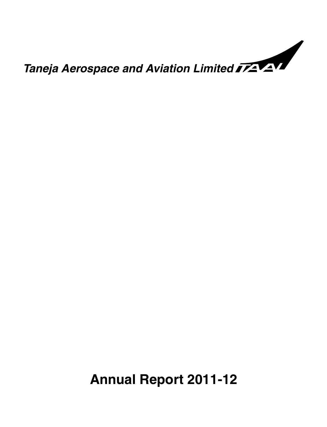

# **Annual Report 2011-12**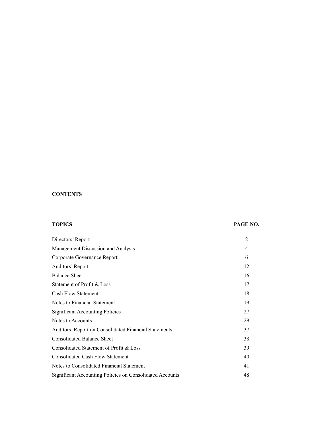### **CONTENTS**

#### **TOPICS PAGE NO.**

| Directors' Report                                        | $\overline{2}$ |
|----------------------------------------------------------|----------------|
| Management Discussion and Analysis                       | 4              |
| Corporate Governance Report                              | 6              |
| Auditors' Report                                         | 12             |
| <b>Balance Sheet</b>                                     | 16             |
| Statement of Profit & Loss                               | 17             |
| <b>Cash Flow Statement</b>                               | 18             |
| Notes to Financial Statement                             | 19             |
| <b>Significant Accounting Policies</b>                   | 27             |
| Notes to Accounts                                        | 29             |
| Auditors' Report on Consolidated Financial Statements    | 37             |
| <b>Consolidated Balance Sheet</b>                        | 38             |
| Consolidated Statement of Profit & Loss                  | 39             |
| <b>Consolidated Cash Flow Statement</b>                  | 40             |
| Notes to Consolidated Financial Statement                | 41             |
| Significant Accounting Policies on Consolidated Accounts | 48             |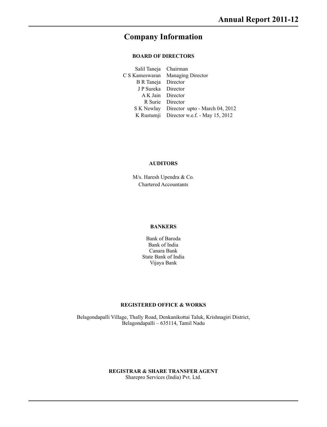# **Company Information**

#### **BOARD OF DIRECTORS**

| Salil Taneja Chairman                     |
|-------------------------------------------|
| C S Kameswaran Managing Director          |
| B R Taneja Director                       |
| J P Sureka Director                       |
| A K Jain Director                         |
| R Surie Director                          |
| S K Newlay Director upto - March 04, 2012 |
| K Rustumji Director w.e.f. - May 15, 2012 |
|                                           |

#### **AUDITORS**

M/s. Haresh Upendra & Co. Chartered Accountants

#### **BANKERS**

Bank of Baroda Bank of India Canara Bank State Bank of India Vijaya Bank

#### **REGISTERED OFFICE & WORKS**

Belagondapalli Village, Thally Road, Denkanikottai Taluk, Krishnagiri District, Belagondapalli – 635114, Tamil Nadu

#### **REGISTRAR & SHARE TRANSFER AGENT** Sharepro Services (India) Pvt. Ltd.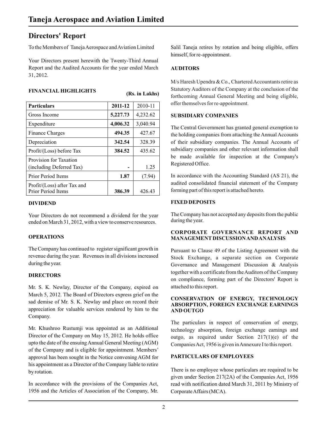# **Directors' Report**

**FINANCIAL HIGHLIGHTS** 

To the Members of Taneja Aerospace and Aviation Limited

Your Directors present herewith the Twenty-Third Annual Report and the Audited Accounts for the year ended March **AUDITORS** 31, 2012.

| 1 11 \!\!\\\C#\\LJH\OHLDJHI\\$                           |          | (Rs. in Lakhs) |
|----------------------------------------------------------|----------|----------------|
| <b>Particulars</b>                                       | 2011-12  | 2010-11        |
| Gross Income                                             | 5,227.73 | 4,232.62       |
| Expenditure                                              | 4,006.32 | 3,040.94       |
| <b>Finance Charges</b>                                   | 494.35   | 427.67         |
| Depreciation                                             | 342.54   | 328.39         |
| Profit/(Loss) before Tax                                 | 384.52   | 435.62         |
| Provision for Taxation<br>(including Deferred Tax)       |          | 1.25           |
| Prior Period Items                                       | 1.87     | (7.94)         |
| Profit/(Loss) after Tax and<br><b>Prior Period Items</b> | 386.39   | 426.43         |

#### **DIVIDEND**

Your Directors do not recommend a dividend for the year ended on March 31, 2012, with a view to conserve resources.

#### **OPERATIONS**

The Company has continued to register significant growth in revenue during the year. Revenues in all divisions increased during the year.

#### **DIRECTORS**

Mr. S. K. Newlay, Director of the Company, expired on March 5, 2012. The Board of Directors express grief on the sad demise of Mr. S. K. Newlay and place on record their appreciation for valuable services rendered by him to the Company.

Mr. Khushroo Rustumji was appointed as an Additional Director of the Company on May 15, 2012. He holds office upto the date of the ensuing Annual General Meeting (AGM) of the Company and is eligible for appointment. Members' approval has been sought in the Notice convening AGM for **PARTICULARS OF EMPLOYEES** his appointment as a Director of the Company liable to retire There is no employee whose particulars are required to be by rotation.

In accordance with the provisions of the Companies Act, read with notification dated March 31, 2011 by Ministry of 1956 and the Articles of Association of the Company, Mr. Corporate Affairs (MCA).

Salil Taneja retires by rotation and being eligible, offers himself, for re-appointment.

M/s Haresh Upendra & Co., Chartered Accountants retire as Statutory Auditors of the Company at the conclusion of the forthcoming Annual General Meeting and being eligible, offer themselves for re-appointment.

#### **SUBSIDIARY COMPANIES**

The Central Government has granted general exemption to the holding companies from attaching the Annual Accounts of their subsidiary companies. The Annual Accounts of subsidiary companies and other relevant information shall be made available for inspection at the Company's Registered Office.

In accordance with the Accounting Standard (AS 21), the audited consolidated financial statement of the Company forming part of this report is attached hereto.

#### **FIXED DEPOSITS**

The Company has not accepted any deposits from the public during the year.

#### **CORPORATE GOVERNANCE REPORT AND MANAGEMENTDISCUSSION AND ANALYSIS**

Pursuant to Clause 49 of the Listing Agreement with the Stock Exchange, a separate section on Corporate Governance and Management Discussion & Analysis together with a certificate from the Auditors of the Company on compliance, forming part of the Directors' Report is attached to this report.

#### **CONSERVATION OF ENERGY, TECHNOLOGY ABSORPTION, FOREIGN EXCHANGE EARNINGS AND OUTGO**

The particulars in respect of conservation of energy, technology absorption, foreign exchange earnings and outgo, as required under Section 217(1)(e) of the Companies Act, 1956 is given in Annexure I to this report.

given under Section 217(2A) of the Companies Act, 1956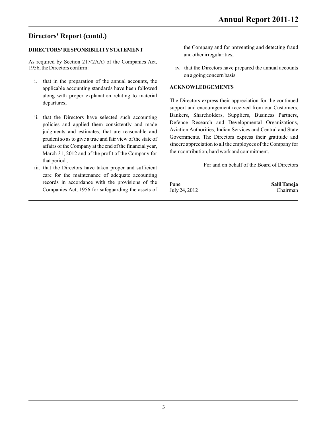## **Directors' Report (contd.)**

### **DIRECTORS' RESPONSIBILITYSTATEMENT**

As required by Section 217(2AA) of the Companies Act, 1956, the Directors confirm:

- i. that in the preparation of the annual accounts, the applicable accounting standards have been followed along with proper explanation relating to material
- ii. that the Directors have selected such accounting policies and applied them consistently and made affairs of the Company at the end of the financial year,<br>March 31, 2012 and of the profit of the Company for their contribution, hard work and commitment. March 31, 2012 and of the profit of the Company for that period ;
- For and on behalf of the Board of Directors iii. that the Directors have taken proper and sufficient care for the maintenance of adequate accounting records in accordance with the provisions of the Pune **Pune Salil Taneja** Companies Act, 1956 for safeguarding the assets of July 24, 2012 Chairman

the Company and for preventing and detecting fraud and other irregularities;

iv. that the Directors have prepared the annual accounts on a going concern basis.

#### **ACKNOWLEDGEMENTS**

The Directors express their appreciation for the continued departures; support and encouragement received from our Customers, Bankers, Shareholders, Suppliers, Business Partners, Defence Research and Developmental Organizations, indigments and estimates, that are reasonable and<br>
Aviation Authorities, Indian Services and Central and State<br>
organisments are proposed by the state of Governments. The Directors express their gratitude and prudent so as to give a true and fair view of the state of Governments. The Directors express their gratitude and prediction of the Company of the Company of the state of  $\frac{1}{2}$  sincere appreciation to all the employees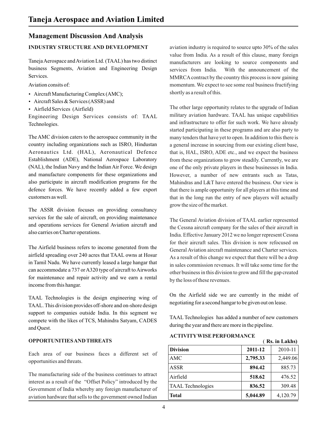### **Management Discussion And Analysis**

Taneja Aerospace and Aviation Ltd. (TAAL) has two distinct business Segments, Aviation and Engineering Design Services.

Aviation consits of:

- Aircraft Manufacturing Complex (AMC);
- $\bullet$  Aircraft Sales & Services (ASSR) and
- Airfield Services (Airfield)

Engineering Design Services consists of: TAAL Technologies.

The AMC division caters to the aerospace community in the country including organizations such as ISRO, Hindustan Aeronautics Ltd. (HAL), Aeronautical Defence Establishment (ADE), National Aerospace Laboratory (NAL), the Indian Navy and the Indian Air Force. We design and manufacture components for these organizations and also participate in aircraft modification programs for the defence forces. We have recently added a few export customers as well.

The ASSR division focuses on providing consultancy services for the sale of aircraft, on providing maintenance and operations services for General Aviation aircraft and also carries on Charter operations.

The Airfield business refers to income generated from the airfield spreading over 240 acres that TAAL owns at Hosur in Tamil Nadu. We have currently leased a large hangar that can accommodate a 737 or A320 type of aircraft to Airworks for maintenance and repair activity and we earn a rental income from this hangar.

TAAL. This division provides off-shore and on-shore design support to companies outside India. In this segment we TAAL Technologies has added a number of new customers compete with the likes of TCS, Mahindra Satyam, CADES TAAL Technologies has added a number of new customers during the year and there are more in the pipeline.<br>and Quest.

#### **OPPORTUNITIES AND THREATS**

Each area of our business faces a different set of opportunities and threats.

The manufacturing side of the business continues to attract interest as a result of the "Offset Policy" introduced by the Government of India whereby any foreign manufacturer of aviation hardware that sells to the government owned Indian

**INDUSTRY STRUCTURE AND DEVELOPMENT** aviation industry is required to source upto 30% of the sales value from India. As a result of this clause, many foreign manufacturers are looking to source components and services from India. With the announcement of the MMRCA contract by the country this process is now gaining momentum. We expect to see some real business fructifying shortly as a result of this.

> The other large opportunity relates to the upgrade of Indian military aviation hardware. TAAL has unique capabilities and infrastructure to offer for such work. We have already started participating in these programs and are also party to many tenders that have yet to open. In addition to this there is a general increase in sourcing from our existing client base, that is, HAL, ISRO, ADE etc., and we expect the business from these organizations to grow steadily. Currently, we are one of the only private players in these businesses in India. However, a number of new entrants such as Tatas, Mahindras and L&T have entered the business. Our view is that there is ample opportunity for all players at this time and that in the long run the entry of new players will actually grow the size of the market.

> The General Aviation division of TAAL earlier represented the Cessna aircraft company for the sales of their aircraft in India. Effective January 2012 we no longer represent Cessna for their aircraft sales. This division is now refocused on General Aviation aircraft maintenance and Charter services. As a result of this change we expect that there will be a drop in sales commission revenues. It will take some time for the other business in this division to grow and fill the gap created by the loss of these revenues.

TAAL Technologies is the design engineering wing of On the Airfield side we are currently in the midst of negotiating for a second hangar to be given out on lease.

**ACTIVITYWISE PERFORMANCE**

|                          |          | (Rs. in Lakhs) |
|--------------------------|----------|----------------|
| <b>Division</b>          | 2011-12  | 2010-11        |
| AMC                      | 2,795.33 | 2,449.06       |
| <b>ASSR</b>              | 894.42   | 885.73         |
| Airfield                 | 518.62   | 476.52         |
| <b>TAAL</b> Technologies | 836.52   | 309.48         |
| <b>Total</b>             | 5,044.89 | 4,120.79       |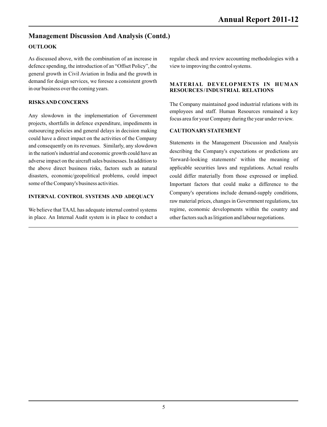### **Management Discussion And Analysis (Contd.)**

### **OUTLOOK**

As discussed above, with the combination of an increase in regular check and review accounting methodologies with a defence spending, the introduction of an "Offset Policy", the view to improving the control systems. general growth in Civil Aviation in India and the growth in demand for design services, we foresee a consistent growth<br> **MATERIAL DEVELOPMENTS IN HUMAN**<br> **RESOURCES/INDUSTRIAL RELATIONS** 

Any slowdown in the implementation of Government focus area for your Company during the year under review. projects, shortfalls in defence expenditure, impediments in outsourcing policies and general delays in decision making **CAUTIONARYSTATEMENT** could have a direct impact on the activities of the Company Statements in the Management Discussion and Analysis<br>in the nation's industrial and economic growth could have an describing the Company's expectations or predictions are in the nation's industrial and economic growth could have an<br>adverse impact on the aircraft sales businesses. In addition to leave industrial statements' within the meaning of adverse impact on the aircraft sales businesses. In addition to the above direct business risks, factors such as natural applicable securities laws and regulations. Actual results disasters, economic/geopolitical problems, could impact could differ materially from those expressed or implied.

#### **INTERNAL CONTROL SYSTEMS AND ADEQUACY**

We believe that TAAL has adequate internal control systems regime, economic developments within the country and in place. An Internal Audit system is in place to conduct a other factors such as litigation and labour negotiations.

# **RESOURCES/INDUSTRIAL RELATIONS**

**RISKS AND CONCERNS** The Company maintained good industrial relations with its employees and staff. Human Resources remained a key

some of the Company's business activities. Important factors that could make a difference to the Company's operations include demand-supply conditions, raw material prices, changes in Government regulations, tax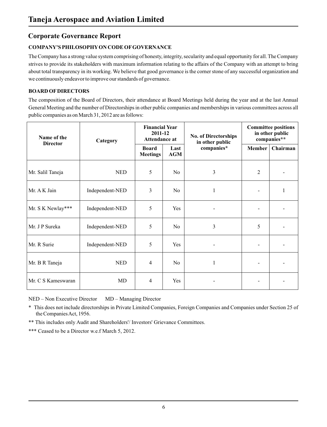### **Corporate Governance Report**

### **COMPANY'S PHILOSOPHYON CODE OFGOVERNANCE**

The Company has a strong value system comprising of honesty, integrity, secularity and equal opportunity for all. The Company strives to provide its stakeholders with maximum information relating to the affairs of the Company with an attempt to bring about total transparency in its working. We believe that good governance is the corner stone of any successful organization and we continuously endeavor to improve our standards of governance.

### **BOARD OFDIRECTORS**

The composition of the Board of Directors, their attendance at Board Meetings held during the year and at the last Annual General Meeting and the number of Directorships in other public companies and memberships in various committees across all public companies as on March 31, 2012 are as follows:

| Name of the<br><b>Director</b> | Category        | <b>Financial Year</b><br>2011-12<br>Attendance at |                    | <b>No. of Directorships</b><br>in other public |                | <b>Committee positions</b><br>in other public<br>companies** |
|--------------------------------|-----------------|---------------------------------------------------|--------------------|------------------------------------------------|----------------|--------------------------------------------------------------|
|                                |                 | <b>Board</b><br><b>Meetings</b>                   | Last<br><b>AGM</b> | companies*                                     | Member         | Chairman                                                     |
| Mr. Salil Taneja               | <b>NED</b>      | 5                                                 | No                 | 3                                              | $\overline{2}$ |                                                              |
| Mr. A K Jain                   | Independent-NED | 3                                                 | N <sub>0</sub>     | 1                                              |                | $\mathbf{1}$                                                 |
| Mr. S K Newlay***              | Independent-NED | 5                                                 | <b>Yes</b>         |                                                |                |                                                              |
| Mr. J P Sureka                 | Independent-NED | 5                                                 | N <sub>o</sub>     | 3                                              | 5              |                                                              |
| Mr. R Surie                    | Independent-NED | 5                                                 | Yes                |                                                |                |                                                              |
| Mr. B R Taneja                 | <b>NED</b>      | 4                                                 | N <sub>o</sub>     | 1                                              |                |                                                              |
| Mr. C S Kameswaran             | MD              | 4                                                 | Yes                |                                                |                |                                                              |

NED – Non Executive Director MD – Managing Director

\* This does not include directorships in Private Limited Companies, Foreign Companies and Companies under Section 25 of the Companies Act, 1956.

\*\* This includes only Audit and Shareholders'/ Investors' Grievance Committees.

\*\*\* Ceased to be a Director w.e.f March 5, 2012.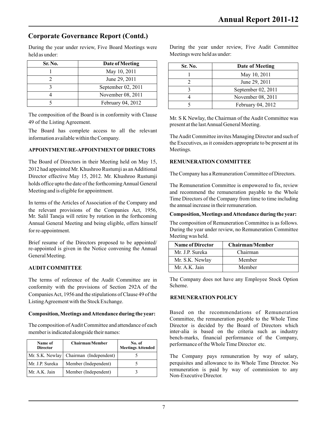held as under: Meetings were held as under:

| Sr. No. | Date of Meeting      | Sr. No. | Date of Meeting               |
|---------|----------------------|---------|-------------------------------|
|         | May 10, 2011         |         |                               |
|         | June 29, 2011        |         | May 10, 2011<br>June 29, 2011 |
|         | September $02, 2011$ |         | September 02, 201             |
|         | November 08, 2011    |         | November 08, 201              |
|         | February 04, 2012    |         | February 04, 2012             |

The composition of the Board is in conformity with Clause Mr. S K Newlay, the Chairman of the Audit Committee was present at the last Annual General Meeting.

The Board has complete access to all the relevant

#### APPOINTMENT/RE-APPOINTMENT OF DIRECTORS Meetings.

The Board of Directors in their Meeting held on May 15, **REMUNERATION COMMITTEE** 2012 had appointed Mr. Khushroo Rustumji as an Additional Director effective May 15, 2012. Mr. Khushroo Rustumji The Company has a Remuneration Committee of Directors. holds office upto the date of the forthcoming Annual General The Remuneration Committee is empowered to fix, review<br>Meeting and is eligible for appointment.

In terms of the Articles of Association of the Company and the annual increase in their remuneration. the relevant provisions of the Companies Act, 1956, Mr. Salil Taneja will retire by rotation in the forthcoming **Composition, Meetings and Attendance during the year:** Annual General Meeting and being eligible, offers himself The composition of Remuneration Committee is as follows. for re-appointment. During the year under review, no Remuneration Committee

Brief resume of the Directors proposed to be appointed/ re-appointed is given in the Notice convening the Annual General Meeting.

### **AUDITCOMMITTEE**

The terms of reference of the Audit Committee are in The Company does not have any Employee Stock Option conformity with the provisions of Society 2024 of the Scheme. conformity with the provisions of Section 292A of the Companies Act, 1956 and the stipulations of Clause 49 of the **REMUNERATION POLICY** Listing Agreement with the Stock Exchange.

The composition of Audit Committee and attendance of each Director is decided by the Board of Directors which member is indicated alongside their names: inter-alia is based on the criteria such as industry

| Name of<br><b>Director</b> | Chairman/Member        | No. of<br><b>Meetings Attended</b> |
|----------------------------|------------------------|------------------------------------|
| Mr. S.K. Newlay            | Chairman (Independent) |                                    |
| Mr. J.P. Sureka            | Member (Independent)   |                                    |
| Mr. A.K. Jain              | Member (Independent)   |                                    |

During the year under review, Five Board Meetings were During the year under review, Five Audit Committee

| Date of Meeting     |                                                                          |                      |
|---------------------|--------------------------------------------------------------------------|----------------------|
|                     |                                                                          | Date of Meeting      |
|                     |                                                                          | May 10, 2011         |
|                     |                                                                          | June 29, 2011        |
|                     |                                                                          | September $02, 2011$ |
|                     |                                                                          | November 08, 2011    |
| February $04, 2012$ |                                                                          | February 04, 2012    |
|                     | May 10, 2011<br>June 29, 2011<br>September 02, 2011<br>November 08, 2011 | Sr. No.              |

information available within the Company. The Audit Committee invites Managing Director and such of the Executives, as it considers appropriate to be present at its

and recommend the remuneration payable to the Whole Time Directors of the Company from time to time including

Meeting was held.

| Name of Director | <b>Chairman/Member</b> |
|------------------|------------------------|
| Mr. J.P. Sureka  | Chairman               |
| Mr. S.K. Newlay  | Member                 |
| Mr. A.K. Jain    | Member                 |

**Composition, Meetings and Attendance during the year:** Based on the recommendations of Remuneration Committee, the remuneration payable to the Whole Time bench-marks, financial performance of the Company, performance of the Whole Time Director etc.

> The Company pays remuneration by way of salary, perquisites and allowance to its Whole Time Director. No remuneration is paid by way of commission to any Non-Executive Director.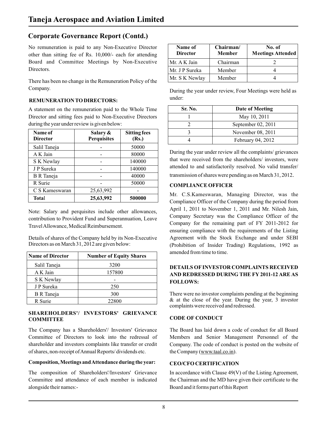No remuneration is paid to any Non-Executive Director other than sitting fee of Rs. 10,000/- each for attending Board and Committee Meetings by Non-Executive Directors.

There has been no change in the Remuneration Policy of the

## under: **REMUNERATION TO DIRECTORS:**

A statement on the remuneration paid to the Whole Time Director and sitting fees paid to Non-Executive Directors during the year under review is given below:

| Name of           | Salary &           | <b>Sitting fees</b> |                                                                                          |                                                                                                     | November 08, 2011 |  |
|-------------------|--------------------|---------------------|------------------------------------------------------------------------------------------|-----------------------------------------------------------------------------------------------------|-------------------|--|
| <b>Director</b>   | <b>Perquisites</b> | (Rs.)               |                                                                                          | 4                                                                                                   | February 04, 2012 |  |
| Salil Taneja      |                    | 50000               |                                                                                          |                                                                                                     |                   |  |
| A K Jain          |                    | 80000               |                                                                                          | During the year under review all the complaints/<br>that were received from the shareholders/ inves |                   |  |
| S K Newlay        |                    | 140000              |                                                                                          |                                                                                                     |                   |  |
| J P Sureka        |                    | 140000              | attended to and satisfactorily resolved. No vali-                                        |                                                                                                     |                   |  |
| <b>B</b> R Taneja |                    | 40000               | transmission of shares were pending as on March?                                         |                                                                                                     |                   |  |
| R Surie           |                    | 50000               |                                                                                          | <b>COMPLIANCE OFFICER</b>                                                                           |                   |  |
| C S Kameswaran    | 25,63,992          |                     | Mr. C.S.Kameswaran, Managing Director,<br>Compliance Officer of the Company during the p |                                                                                                     |                   |  |
| Total             | 25,63,992          | 500000              |                                                                                          |                                                                                                     |                   |  |

contribution to Provident Fund and Superannuation, Leave Company for the remaining part of FY 2011-2012 for Travel Allowance, Medical Reimbursement.

Details of shares of the Company held by its Non-Executive Agreement with the Stock Exchange and under SEBI

| <b>Name of Director</b> | <b>Number of Equity Shares</b> |
|-------------------------|--------------------------------|
| Salil Taneja            | 3200                           |
| A K Jain                | 157800                         |
| S K Newlay              |                                |
| J P Sureka              | 250                            |
| <b>B</b> R Taneja       | 300                            |
| R Surie                 | 22800                          |

# **SHAREHOLDERS'/ INVESTORS' GRIEVANCE**

The Company has a Shareholders'/ Investors' Grievance The Board has laid down a code of conduct for all Board Committee of Directors to look into the redressal of Members and Senior Management Personnel of the shareholder and investors complaints like transfer or credit Company. The code of conduct is posted on the website of of shares, non-receipt of Annual Reports/ dividends etc. the Company (www.taal.co.in).

#### **Composition, Meetings and Attendance during the year: CEO/CFO CERTIFICATION**

The composition of Shareholders'/Investors' Grievance In accordance with Clause 49(V) of the Listing Agreement, Committee and attendance of each member is indicated the Chairman and the MD have given their certificate to the alongside their names:- Board and it forms part of this Report

| Name of<br><b>Director</b> | Chairman/<br><b>Member</b> | No. of<br><b>Meetings Attended</b> |
|----------------------------|----------------------------|------------------------------------|
| Mr. A K Jain               | Chairman                   |                                    |
| Mr. J P Sureka             | Member                     |                                    |
| Mr. S K Newlay             | Member                     |                                    |

Company. During the year under review, Four Meetings were held as

| Sr. No. | Date of Meeting      |
|---------|----------------------|
|         | May 10, 2011         |
|         | September $02, 2011$ |
|         | November 08, 2011    |
|         | February 04, 2012    |

During the year under review all the complaints/ grievances that were received from the shareholders/ investors, were attended to and satisfactorily resolved. No valid transfer/ transmission of shares were pending as on March 31, 2012.

#### **COMPLIANCE OFFICER**

Mr. C.S.Kameswaran, Managing Director, was the Compliance Officer of the Company during the period from Note: Salary and perquisites include other allowances,<br>
April 1, 2011 to November 1, 2011 and Mr. Nilesh Jain,<br>
Company Secretary was the Compliance Officer of the ensuring compliance with the requirements of the Listing Directors as on March 31, 2012 are given below: (Prohibition of Insider Trading) Regulations, 1992 as amended from time to time.

#### **DETAILS OFINVESTOR COMPLAINTS RECEIVED AND REDRESSED DURING THE FY 2011-12 ARE AS FOLLOWS:**

There were no investor complaints pending at the beginning  $\&$  at the close of the year. During the year, 3 investor complaints were received and redressed.

#### **CODE OF CONDUCT**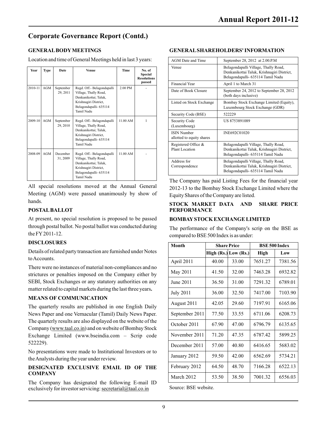### **GENERAL BODY MEETINGS**

Location and time of General Meetings held in last 3 years:

| Year        | Type       | Date                  | Venue                                                                                                          | Time     | No. of<br><b>Special</b><br><b>Resolutions</b> | venue                                           | Belagondapalli Village, Thally Road,<br>Denkanikottai Taluk, Krishnagiri District,<br>Belagondapalli- 635114 Tamil Nadu |
|-------------|------------|-----------------------|----------------------------------------------------------------------------------------------------------------|----------|------------------------------------------------|-------------------------------------------------|-------------------------------------------------------------------------------------------------------------------------|
|             |            |                       |                                                                                                                |          | passed                                         | <b>Financial Year</b>                           | April 1 to March 31                                                                                                     |
| $2010 - 11$ | AGM        | September<br>29, 2011 | Regd. Off.- Belagondapalli<br>Village, Thally Road,<br>Denkanikottai; Taluk,                                   | 2.00 PM  |                                                | Date of Book Closure                            | September 24, 2012 to September 28, 201<br>(both days inclusive)                                                        |
|             |            |                       | Krishnagiri District,<br>Belagondapalli-635114                                                                 |          |                                                | Listed on Stock Exchange                        | Bombay Stock Exchange Limited (Equity)<br>Luxembourg Stock Exchange (GDR)                                               |
|             |            |                       | Tamil Nadu                                                                                                     |          |                                                | Security Code (BSE)                             | 522229                                                                                                                  |
| 2009-10     | <b>AGM</b> | September<br>29, 2010 | Regd. Off.- Belagondapalli<br>Village, Thally Road,                                                            | 11.00 AM |                                                | Security Code<br>(Luxembourg)                   | US 8753891089                                                                                                           |
|             |            |                       | Denkanikottai; Taluk,<br>Krishnagiri District,<br>Belagondapalli-635114                                        |          |                                                | <b>ISIN Number</b><br>allotted to equity shares | INE692C01020                                                                                                            |
| $2008 - 09$ | AGM        | December              | Tamil Nadu<br>Regd. Off.- Belagondapalli                                                                       | 11.00 AM |                                                | Registered Office &<br><b>Plant Location</b>    | Belagondapalli Village, Thally Road,<br>Denkanikottai Taluk, Krishnagiri District,<br>Belagondapalli- 635114 Tamil Nadu |
|             |            | 31, 2009              | Village, Thally Road,<br>Denkanikottai; Taluk,<br>Krishnagiri District,<br>Belagondapalli-635114<br>Tamil Nadu |          |                                                | Address for<br>Correspondence                   | Belagondapalli Village, Thally Road,<br>Denkanikottai Taluk, Krishnagiri District,<br>Belagondapalli- 635114 Tamil Nadu |
|             |            |                       |                                                                                                                |          |                                                |                                                 | The Company has noid Listing Eggs for the financial ve                                                                  |

All special resolutions moved at the Annual General 2012-13 to the Bombay Stock Exchange Limited where the Meeting (AGM) were passed unanimously by show of Equity Shares of the Company are listed.<br>hands.

At present, no special resolution is proposed to be passed **BOMBAYSTOCK EXCHANGE LIMITED** through postal ballot. No postal ballot was conducted during The performance of the Company's scrip on the BSE as<br>the FY 2011-12.

#### **DISCLOSURES**

Details of related party transaction are furnished under Notes to Accounts.

There were no instances of material non-compliances and no strictures or penalties imposed on the Company either by SEBI, Stock Exchanges or any statutory authorities on any matter related to capital markets during the last three years**.**

#### **MEANS OF COMMUNICATION**

The quarterly results are published in one English Daily News Paper and one Vernacular (Tamil) Daily News Paper. The quarterly results are also displayed on the website of the Company (www.taal.co.in) and on website of Bombay Stock Exchange Limited (www.bseindia.com – Scrip code 522229).

No presentations were made to Institutional Investors or to the Analysts during the year under review.

#### **DESIGNATED EXCLUSIVE EMAIL ID OF THE COMPANY**

The Company has designated the following E-mail ID exclusively for investor servicing:  $\frac{\text{secretarial@taal.co.in}}{\text{Scalar.com}}$  Source: BSE website.

| AGM Date and Time                               | September 28, 2012 at 2.00.P.M                                                                                          |
|-------------------------------------------------|-------------------------------------------------------------------------------------------------------------------------|
| Venue                                           | Belagondapalli Village, Thally Road,<br>Denkanikottai Taluk, Krishnagiri District,<br>Belagondapalli- 635114 Tamil Nadu |
| <b>Financial Year</b>                           | April 1 to March 31                                                                                                     |
| Date of Book Closure                            | September 24, 2012 to September 28, 2012<br>(both days inclusive)                                                       |
| Listed on Stock Exchange                        | Bombay Stock Exchange Limited (Equity),<br>Luxembourg Stock Exchange (GDR)                                              |
| Security Code (BSE)                             | 522229                                                                                                                  |
| Security Code<br>(Luxembourg)                   | US 8753891089                                                                                                           |
| <b>ISIN Number</b><br>allotted to equity shares | INE692C01020                                                                                                            |
| Registered Office &<br>Plant Location           | Belagondapalli Village, Thally Road,<br>Denkanikottai Taluk, Krishnagiri District,<br>Belagondapalli- 635114 Tamil Nadu |
| Address for<br>Correspondence                   | Belagondapalli Village, Thally Road,<br>Denkanikottai Taluk, Krishnagiri District,<br>Belagondapalli- 635114 Tamil Nadu |

The Company has paid Listing Fees for the financial year

#### hands. **STOCK MARKET DATA AND SHARE PRICE PERFORMANCE**

compared to BSE 500 Index is as under:

| <b>Month</b>     | <b>Share Price</b> |                          | <b>BSE 500 Index</b> |         |  |
|------------------|--------------------|--------------------------|----------------------|---------|--|
|                  |                    | High $(Rs.)$ Low $(Rs.)$ | High                 | Low     |  |
| April 2011       | 40.00              | 33.00                    | 7651.27              | 7381.56 |  |
| May 2011         | 41.50              | 32.00                    | 7463.28              | 6932.82 |  |
| June 2011        | 36.50              | 31.00                    | 7291.32              | 6789.01 |  |
| <b>July 2011</b> | 36.00              | 32.50                    | 7417.00              | 7103.90 |  |
| August 2011      | 42.05              | 29.60                    | 7197.91              | 6165.06 |  |
| September 2011   | 77.50              | 33.55                    | 6711.06              | 6208.73 |  |
| October 2011     | 67.90              | 47.00                    | 6796.79              | 6135.65 |  |
| November 2011    | 71.20              | 47.35                    | 6787.42              | 5899.25 |  |
| December 2011    | 57.00              | 40.80                    | 6416.65              | 5683.02 |  |
| January 2012     | 59.50              | 42.00                    | 6562.69              | 5734.21 |  |
| February 2012    | 64.50              | 48.70                    | 7166.28              | 6522.13 |  |
| March 2012       | 53.50              | 38.50                    | 7001.32              | 6556.03 |  |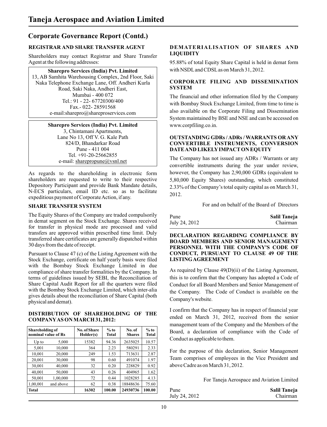Shareholders may contact Registrar and Share Transfer Agent at the following addresses:

# **Sharepro Services (India) Pvt. Limited** with NSDL and CDSL as on March 31, 2012. 13, AB Samhita Warehousing Complex, 2nd Floor, Saki Road, Saki Naka, Andheri East,<br>Mumbai - 400 072

#### **Sharepro Services (India) Pvt. Limited** www.corpfiling.co.in.

3, Chintamani Apartments,<br>Lane No 13, Off V. G. Kale Path Pune - 411 004 **DATE AND LIKELY IMPACT ON EQUITY**<br>Tel. +91-20-25662855 **DATE AND LIKELY IMPACT ON EQUITY** 

shareholders are requested to write to their respective 5,80,000 Equity Shares) outstanding, which constituted<br>Depository Participant and provide Bank Mandate details, 233% of the Company's total equity canital as on March N-ECS particulars, email ID etc. so as to facilitate expeditious payment of Corporate Action, if any.

The Equity Shares of the Company are traded compulsorily in demat segment on the Stock Exchange. Shares received for transfer in physical mode are processed and valid

Pursuant to Clause 47 (c) of the Listing Agreement with the **CONDUCT, PURSUANT** Stock Exchange, certificate on half yearly basis were filed **LISTING AGREEMENT** Stock Exchange, certificate on half yearly basis were filed with the Bombay Stock Exchange Limited in due compliance of share transfer formalities by the Company. In As required by Clause 49(D)(ii) of the Listing Agreement, terms of guidelines issued by SEBI, the Reconciliation of this is to confirm that the Company has adopte terms of guidelines issued by SEBI, the Reconciliation of Share Capital Audit Report for all the quarters were filed Share Capital Audit Report for all the quarters were filed Conduct for all Board Members and Senior Management of with the Bombay Stock Exchange Limited, which inter-alia the Company. The Code of Conduct is available on th gives details about the reconciliation of Share Capital (both Company's website.

| Shareholding of<br>nominal value of Rs |           | No. of Share<br>Holder(s) | $%$ to<br><b>Total</b> | No.of<br><b>Shares</b> | $%$ to<br><b>Total</b> |
|----------------------------------------|-----------|---------------------------|------------------------|------------------------|------------------------|
| $Up$ to                                | 5,000     | 15382                     | 94.36                  | 2635025                | 10.57                  |
| 5,001                                  | 10,000    | 364                       | 2.23                   | 580291                 | 2.33                   |
| 10,001                                 | 20,000    | 249                       | 1.53                   | 713631                 | 2.87                   |
| 20,001                                 | 30,000    | 98                        | 0.60                   | 491074                 | 1.97                   |
| 30,001                                 | 40,000    | 32                        | 0.20                   | 228829                 | 0.92                   |
| 40,001                                 | 50,000    | 43                        | 0.26                   | 404965                 | 1.62                   |
| 50,001                                 | 1,00,000  | 72                        | 0.44                   | 1028285                | 4.13                   |
| 1,00,001                               | and above | 62                        | 0.38                   | 18848636               | 75.60                  |
| <b>Total</b>                           |           | 16302                     | 100.00                 | 24930736               | 100.00                 |

# **REGISTRAR AND SHARE TRANSFER AGENT DEMATERIALISATION OF SHARES AND**

95.88% of total Equity Share Capital is held in demat form

# Naka Telephone Exchange Lane, Off. Andheri Kurla **CORPORATE FILING AND DISSEMINATION**

Mumbai - 400 072<br>
The financial and other information filed by the Company<br>
Tel.: 91 - 22- 67720300/400<br>
The financial and other information filed by the Company  $T_{\text{max}}$ .: 91 - 22- 67720300/400 with Bombay Stock Exchange Limited, from time to time is Fax.- 022- 28591568 e-mail:sharepro@shareproservices.com also available on the Corporate Filing and Dissemination System maintained by BSE and NSE and can be accessed on

# Land 13, Off V. G. Kale Path **OUTSTANDING GDRs / ADRs / WARRANTS OR ANY**<br> **OUTSTANDING GDRS / MARRANTS OR ANY**<br> **CONVERTIBLE INSTRUMENTS. CONVERSION** 824/D, Bhandarkar Road **CONVERTIBLE INSTRUMENTS, CONVERSION**

Tel. +91-20-25662855<br>
The Company has not issued any ADRs / Warrants or any<br>
The Company has not issued any ADRs / Warrants or any convertible instruments during the year under review, As regards to the shareholding in electronic form however, the Company has 2,90,000 GDRs (equivalent to shareholders are requested to write to their respective 5.80,000 Equity Shares) outstanding, which constituted 2.33% of the Company's total equity capital as on March 31,

**SHARE TRANSFER SYSTEM** For and on behalf of the Board of Directors

| Pune          | Salil Taneja |
|---------------|--------------|
| July 24, 2012 | Chairman     |

transfers are approved within prescribed time limit. Duly<br>transferred share certificates are generally dispatched within<br>30 days from the date of receipt.<br>PERSONNEL WITH THE COMPANY'S CODE OF<br>Pursuant to Clause 47 (c) of t

the Company. The Code of Conduct is available on the

I confirm that the Company has in respect of financial year **DISTRIBUTION OF SHAREHOLDING OF THE** ended on March 31, 2012, received from the senior **COMPANYAS ON MARCH 31, 2012:** management team of the Company and the Members of the Board, a declaration of compliance with the Code of Conduct as applicable to them.

> For the purpose of this declaration, Senior Management Team comprises of employees in the Vice President and above Cadre as on March 31, 2012.

> > For Taneja Aerospace and Aviation Limited

| Pune          | Salil Taneja |
|---------------|--------------|
| July 24, 2012 | Chairman     |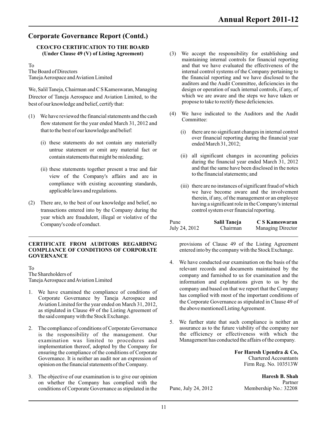# **CEO/CFO CERTIFICATION TO THE BOARD**

Director of Taneja Aerospace and Aviation Limited, to the which we are aware and the steps we have taken or to the propose to take to rectify these deficiencies. best of our knowledge and belief, certify that:

- (1) We have reviewed the financial statements and the cash  $(4)$  We have indicated to the Auditors and the Audit flow statement for the year ended March 31, 2012 and that to the best of our knowledge and belief: (i) there are no significant changes in internal control
	- $(i)$  these statements do not contain any materially untrue statement or omit any material fact or
	- (ii) these statements together present a true and fair and that the same have been dis<br>to the financial statements: and view of the Company's affairs and are in compliance with existing accounting standards, (iii) there are no instances of significant fraud of which applicable laws and regulations.
- (2) There are, to the best of our knowledge and belief, no having a significant role in the Company transactions entered into by the Company during the control system over financial reporting. transactions entered into by the Company during the year which are fraudulent, illegal or violative of the Company's code of conduct.

# **CERTIFICATE FROM AUDITORS REGARDING** provisions of Clause 49 of the Listing Agreement **COMPLIANCE OF CONDITIONS OF CORPORATE** entered into by the company with the Stock Exchange. **GOVERNANCE**

- as stipulated in Clause 49 of the Listing Agreement of the said company with the Stock Exchange.
- 2. The compliance of conditions of Corporate Governance as to the future viability of the company nor is the responsibility of the management. Our the efficiency or effectiveness with which the examination was limited to procedures and implementation thereof, adopted by the Company for ensuring the compliance of the conditions of Corporate **For Haresh Upendra & Co,** Governance. It is neither an audit nor an expression of **For Haresh Upendra & Co**, Governance. It is neither an audit nor an expression of Chartered Accountants<br>
opinion on the financial statements of the Company. Firm Reg. No. 103513W opinion on the financial statements of the Company.
- 3. The objective of our examination is to give our opinion **Haresh B. Shah**  on whether the Company has complied with the Partner conditions of Corporate Governance as stipulated in the Pune, July 24, 2012 Membership No.: 32208
- (3) We accept the responsibility for establishing and maintaining internal controls for financial reporting To and that we have evaluated the effectiveness of the The Board of Directors and that we have evaluated the effectiveness of the The Board of Directors The Board of Directors internal control systems of the Company pertaining to<br>Taneja Aerospace and Aviation Limited the financial reporting and we have disclosed to the the financial reporting and we have disclosed to the auditors and the Audit Committee, deficiencies in the design or operation of such internal controls, if any, of We, Salil Taneja, Chairman and C S Kameswaran, Managing design or operation of such internal controls, if any, of<br>Director of Taneja Aerospace and Aviation Limited to the which we are aware and the steps we have taken or
	- - over financial reporting during the financial year<br>ended March 31, 2012;
	- contain statements that might be misleading; (ii) all significant changes in accounting policies during the financial year ended March 31, 2012<br>and that the same have been disclosed in the notes
		- we have become aware and the involvement therein, if any, of the management or an employee having a significant role in the Company's internal

| Pune          | Salil Taneja | C S Kameswaran    |
|---------------|--------------|-------------------|
| July 24, 2012 | Chairman     | Managing Director |

**COMPLICE OF THE COMPANY WITH THE STOCK Exchange.** 

- 4. We have conducted our examination on the basis of the To relevant records and documents maintained by the The Shareholders of the Shareholders of the Shareholders of the Shareholders of the Shareholders of the Shareholders of the Shareholders of the Shareholders of the Shareh The Shareholders of company and furnished to us for examination and the Taneja Aerospace and Aviation Limited information and explorations given to us by the information and explanations given to us by the 1. We have examined the compliance of conditions of<br>
Corporate Governance by Taneja Aerospace and<br>
Aviation Limited for the year ended on March 31, 2012,<br>
as stipulated in Clause 49 of the Listing Agreement of<br>
the above m
	- 5. We further state that such compliance is neither an assurance as to the future viability of the company nor is the responsibility of the management. Our the efficiency or effectiveness with which the examination was limited to procedures and Management has conducted the affairs of the company.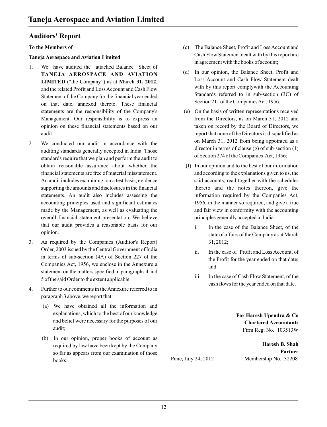### **Auditors' Report**

- 1. We have audited the attached Balance Sheet of (d) In our opinion, the Balance Sheet, Profit and **TANEJA AEROSPACE AND AVIATION** LIMITED ("the Company") as at **March 31, 2012**,<br>
and the related Profit and Loss Account and Cash Flow with by this report complywith the Accounting and the related Profit and Loss Account and Cash Flow with by this report complywith the Accounting<br>Statement of the Company for the financial year orderly Standards referred to in sub-section (3C) of Statement of the Company for the financial year ended<br>Statement of the Companies Act, 1956;<br>Section 211 of the Companies Act, 1956; on that date, annexed thereto. These financial statements are the responsibility of the Company's (e) On the basis of written representations received Management. Our responsibility is to express an from the Directors, as on March 31, 2012 and opinion on these financial statements based on our taken on record by the Board of Directors, we audit. report that none of the Directors is disqualified as
- auditing standards generally accepted in India. Those director in terms of clause (g) of sub-section<br>of Section 274 of the Companies Act, 1956;<br>tandards require that we plan and perform the audit to standards require that we plan and perform the audit to obtain reasonable assurance about whether the (f) In our opinion and to the best of our information financial statements are free of material misstatement. and according to the explanations given to us, the An audit includes examining, on a test basis, evidence said accounts, read together with the schedules supporting the amounts and disclosures in the financial thereto and the notes thereon, give the statements. An audit also includes assessing the information required by the Companies Act, accounting principles used and significant estimates 1956, in the manner so required, and give a true made by the Management, as well as evaluating the and fair view in conformity with the accounting overall financial statement presentation. We believe principles generally accepted in India: that our audit provides a reasonable basis for our i. In the case of the Balance Sheet, of the opinion.
- 3. As required by the Companies (Auditor's Report) 31, 2012; Order, 2003 issued by the Central Government of India ii. In the case of Profit and Loss Account, of in terms of sub-section (4A) of Section 227 of the the the Profit for the year ended on that date; Companies Act, 1956, we enclose in the Annexure a and statement on the matters specified in paragraphs 4 and 5 of the said Order to the extent applicable. The same statement of the said Order to the extent applicable.
- 4. Further to our comments in the Annexure referred to in paragraph 3 above, we report that:
	- (a) We have obtained all the information and explanations, which to the best of our knowledge **For Haresh Upendra & Co** and belief were necessary for the purposes of our **Chartered Accountants** audit; Firm Reg. No.: 103513W
	- (b) In our opinion, proper books of account as required by law have been kept by the Company **Haresh B. Shah**<br>So far as appears from our examination of those **Partner Partners** so far as appears from our examination of those<br> **Pune**, July 24, 2012 books;<br>Bune, July 24, 2012 Membership No.: 32208
- **To the Members of** (c) The Balance Sheet, Profit and Loss Account and Cash Flow Statement dealt with by this report are **Taneja Aerospace and Aviation Limited** in agreement with the books of account;
	-
- 2. We conducted our audit in accordance with the on March 31, 2012 from being appointed as a director in terms of clause (g) of sub-section (1)
	- - state of affairs of the Company as at March
		-
		- cash flows for the year ended on that date.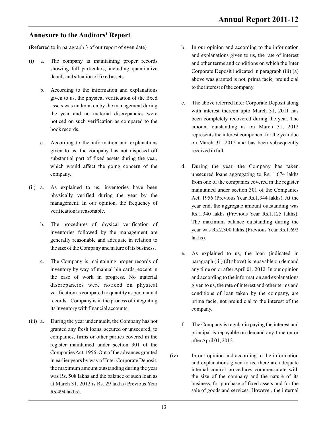### **Annexure to the Auditors' Report**

(Referred to in paragraph 3 of our report of even date) b. In our opinion and according to the information

- (i) a. The company is maintaining proper records and other terms and conditions on which the Inter showing full particulars, including quantitative  $\frac{1}{2}$  Compare Depends in the analysis (c)
	- b. According to the information and explanations to the interest of the company. given to us, the physical verification of the fixed noticed on such verification as compared to the
	- c. According to the information and explanations on March 31, 2012 and has been subsequently given to us, the company has not disposed off received in full. substantial part of fixed assets during the year,
- (ii) a. As explained to us, inventories have been maintained under section 301 of the Companies<br>physically verified during the year by the  $\Delta ct.1056$  (Praxieus Year Be 1.244 lebbs). At the management. In our opinion, the frequency of
	- inventories followed by the management are year w generally reasonable and adequate in relation to the size of the Company and nature of its business.
	- c. The Company is maintaining proper records of paragraph (iii) (d) above) is repayable on demand its inventory with financial accounts. company.
- (iii) a. During the year under audit, the Company has not f. The Company is regular in paying the interest and granted any fresh loans, secured or unsecured, to companies, firms or other parties covered in the after April 01, 2012. register maintained under section 301 of the Companies Act, 1956. Out of the advances granted (iv) In our opinion and according to the information in earlier years by way of Inter Corporate Deposit,
- and explanations given to us, the rate of interest showing full particulars, including quantitative Corporate Deposit indicated in paragraph (iii) (a) details and situation of fixed assets. above was granted is not, prima facie, prejudicial
- examples assets was undertaken by the management during examples of the above referred Inter Corporate Deposit along the year and no material discrepancies were<br>
noticed on such verification as compared to the seen completely recovered during the year. The amount outstanding as on March 31, 2012 book records. represents the interest component for the year due
- which would affect the going concern of the d. During the year, the Company has taken company. unsecured loans aggregating to Rs. 1,674 lakhs from one of the companies covered in the register Act, 1956 (Previous Year Rs.1,344 lakhs). At the year end, the aggregate amount outstanding was verification is reasonable.<br>Rs.1,340 lakhs (Previous Year Rs.1,125 lakhs). b. The procedures of physical verification of The maximum balance outstanding during the b. The procedures of physical verification of vear was Rs.2,300 lakhs (Previous Year Rs.1,692)
	- e. As explained to us, the loan (indicated in inventory by way of manual bin cards, except in any time on or after April 01, 2012. In our opinion the case of work in progress. No material and according to the information and explanations discrepancies were noticed on physical given to us, the rate of interest and other terms and verification as compared to quantity as per manual conditions of loan taken by the company, are records. Company is in the process of integrating prima facie, not prejudicial to the interest of the
		- principal is repayable on demand any time on or
	- in earlier years by way of Inter Corporate Deposit,<br>the maximum amount outstanding during the year<br>internal control procedures commensurate with internal control procedures commensurate with was Rs. 508 lakhs and the balance of such loan as the size of the company and the nature of its at March 31, 2012 is Rs. 29 lakhs (Previous Year business, for purchase of fixed assets and for the Rs.494 lakhs). Sale of goods and services. However, the internal sale of goods and services. However, the internal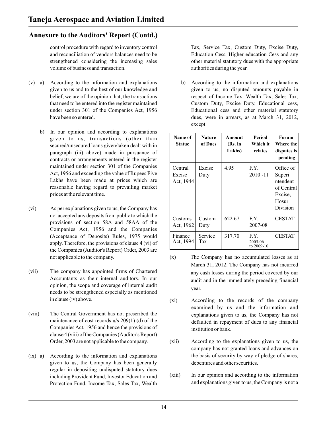### **Annexure to the Auditors' Report (Contd.)**

control procedure with regard to inventory control Tax, Service Tax, Custom Duty, Excise Duty, and reconciliation of vendors balances need to be Education Cess, Higher education Cess and any strengthened considering the increasing sales other material statutory dues with the appropriate volume of business and transaction. The same value of business and transaction.

- (v) a) According to the information and explanations b) According to the information and explanations
	- b) In our opinion and according to explanations given to us, transactions (other than secured/unsecured loans given/taken dealt with in paragraph (iii) above) made in pursuance of contracts or arrangements entered in the register maintained under section 301 of the Companies Act, 1956 and exceeding the value of Rupees Five Lakhs have been made at prices which are reasonable having regard to prevailing market prices at the relevant time.
- (vi) As per explanations given to us, the Company has not accepted any deposits from public to which the provisions of section 58A and 58AA of the Companies Act, 1956 and the Companies (Acceptance of Deposits) Rules, 1975 would apply. Therefore, the provisions of clause 4 (vi) of the Companies (Auditor's Report) Order, 2003 are
- (vii) The company has appointed firms of Chartered any cash losses during the period covered by our Accountants as their internal auditors. In our and it and in the immediately preceding financial opinion, the scope and coverage of internal audit needs to be strengthened especially as mentioned
- Companies Act, 1956 and hence the provisions of institution or bank. clause 4 (viii) of the Companies (Auditor's Report)
- (ix) a) According to the information and explanations the basis of security by way of pledge of shares, given to us, the Company has been generally debentures and other securities. regular in depositing undisputed statutory dues Protection Fund, Income-Tax, Sales Tax, Wealth

given to us and to the best of our knowledge and given to us, no disputed amounts payable in belief, we are of the opinion that, the transactions respect of Income Tax, Wealth Tax, Sales Tax, that need to be entered into the register maintained Custom Duty, Excise Duty, Educational cess, under section 301 of the Companies Act, 1956 Educational cess and other material statutory have been so entered.  $\omega$  areas, were in arrears, as at March 31, 2012, except:

| Name of<br><b>Statue</b>       | <b>Nature</b><br>of Dues | Amount<br>(Rs. in<br>Lakhs) | Period<br>Which it<br>relates | <b>Forum</b><br>Where the<br>disputes is<br>pending                           |
|--------------------------------|--------------------------|-----------------------------|-------------------------------|-------------------------------------------------------------------------------|
| Central<br>Excise<br>Act, 1944 | Excise<br>Duty           | 4.95                        | F.Y.<br>$2010 - 11$           | Office of<br>Superi<br>ntendent<br>of Central<br>Excise,<br>Hosur<br>Division |
| Customs<br>Act, 1962           | Custom<br>Duty           | 622.67                      | F.Y.<br>2007-08               | <b>CESTAT</b>                                                                 |
| Finance<br>Act, 1994           | Service<br>Tax           | 317.70                      | FX<br>2005-06<br>to 2009-10   | <b>CESTAT</b>                                                                 |

- not applicable to the company. (x) The Company has no accumulated losses as at March 31, 2012. The Company has not incurred audit and in the immediately preceding financial year.
- in clause (iv) above. (xi) According to the records of the company examined by us and the information and (viii) The Central Government has not prescribed the explanations given to us, the Company has not maintenance of cost records  $u/s 209(1)$  (d) of the defaulted in repayment of dues to any financial defaulted in repayment of dues to any financial
	- Order, 2003 are not applicable to the company. (xii) According to the explanations given to us, the company has not granted loans and advances on
	- including Provident Fund, Investor Education and (xiii) In our opinion and according to the information Protection Fund. Income-Tax. Sales Tax. Wealth and explanations given to us, the Company is not a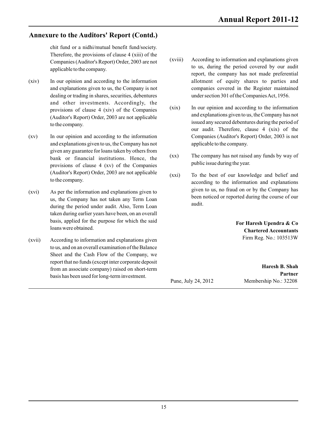### **Annexure to the Auditors' Report (Contd.)**

chit fund or a nidhi/mutual benefit fund/society. Therefore, the provisions of clause 4 (xiii) of the

- (xiv) In our opinion and according to the information allotment of equity shares to parties and and other investments. Accordingly, the (Auditor's Report) Order, 2003 are not applicable
- (xv) In our opinion and according to the information Companies (Auditor's Report) Order, 2003 is not and explanations given to us, the Company has not applicable to the company. given any guarantee for loans taken by others from provisions of clause 4 (xv) of the Companies (Auditor's Report) Order, 2003 are not applicable (xxi) To the best of our knowledge and belief and to the company.
- us, the Company has not taken any Term Loan  $\frac{\text{been}}{\text{du}}$  during the period under our taken any Term Loan and the during the period use of the Company  $\frac{\text{been}}{\text{du}}$ during the period under audit. Also, Term Loan taken during earlier years have been, on an overall basis, applied for the purpose for which the said **For Haresh Upendra & Co** loans were obtained.
- (xvii) According to information and explanations given Firm Reg. No.: 103513W to us, and on an overall examination of the Balance Sheet and the Cash Flow of the Company, we report that no funds (except inter corporate deposit **Haresh B. Shah** from an associate company) raised on short-term<br>here here has been used for lang term investment. **Partners** basis has been used for long-term investment.<br>Pune, July 24, 2012
- (xviii) According to information and explanations given Companies (Auditor's Report) Order, 2003 are not to us, during the period covered by our audit applicable to the company. report, the company has not made preferential and explanations given to us, the Company is not companies covered in the Register maintained dealing or trading in shares, securities, debentures under section 301 of the Companies Act, 1956.
- provisions of clause 4 (xiv) of the Companies (xix) In our opinion and according to the information and explanations given to us, the Company has not issued any secured debentures during the period of to the company. our audit. Therefore, clause 4 (xix) of the
- $\frac{1}{2}$  bank or financial institutions. Hence, the  $(xx)$  The company has not raised any funds by way of public issue during the year.
- according to the information and explanations (xvi) As per the information and explanations given to us, the fraud on or by the Company has been noticed or reported during the course of our

**Chartered Accountants** 

Membership No.: 32208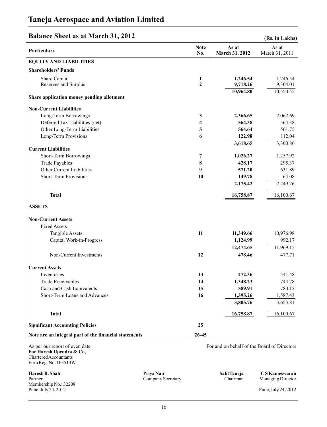### **Balance Sheet as at March 31, 2012**

| Particulars                                                   | <b>Note</b><br>No. | As at<br>March 31, 2012 | As at<br>March 31, 2011 |
|---------------------------------------------------------------|--------------------|-------------------------|-------------------------|
| <b>EQUITY AND LIABILITIES</b>                                 |                    |                         |                         |
| <b>Shareholders' Funds</b>                                    |                    |                         |                         |
| Share Capital                                                 | 1                  | 1,246.54                | 1,246.54                |
| Reserves and Surplus                                          | $\mathbf{2}$       | 9,718.26                | 9,304.01                |
| Share application money pending allotment                     |                    | 10,964.80               | 10,550.55               |
|                                                               |                    |                         |                         |
| <b>Non-Current Liabilities</b>                                |                    |                         |                         |
| Long-Term Borrowings                                          | 3                  | 2,366.65                | 2,062.69                |
| Deferred Tax Liabilities (net)<br>Other Long-Term Liabilities | 4<br>5             | 564.38<br>564.64        | 564.38<br>561.75        |
| Long-Term Provisions                                          | 6                  | 122.98                  | 112.04                  |
|                                                               |                    | 3,618.65                | 3,300.86                |
| <b>Current Liabilities</b>                                    |                    |                         |                         |
| Short-Term Borrowings                                         | 7                  | 1,026.27                | 1,257.92                |
| <b>Trade Payables</b>                                         | 8                  | 428.17                  | 295.37                  |
| Other Current Liabilities                                     | 9                  | 571.20                  | 631.89                  |
| <b>Short-Term Provisions</b>                                  | 10                 | 149.78                  | 64.08                   |
|                                                               |                    | 2,175.42                | 2,249.26                |
| <b>Total</b>                                                  |                    | 16,758.87               | 16,100.67               |
| <b>ASSETS</b>                                                 |                    |                         |                         |
| <b>Non-Current Assets</b>                                     |                    |                         |                         |
| <b>Fixed Assets</b>                                           |                    |                         |                         |
| <b>Tangible Assets</b>                                        | 11                 | 11,349.66               | 10,976.98               |
| Capital Work-in-Progress                                      |                    | 1,124.99                | 992.17                  |
|                                                               |                    | 12,474.65               | 11,969.15               |
| Non-Current Investments                                       | 12                 | 478.46                  | 477.71                  |
| <b>Current Assets</b>                                         |                    |                         |                         |
| Inventories                                                   | 13                 | 472.36                  | 541.48                  |
| <b>Trade Receivables</b>                                      | 14                 | 1,348.23                | 744.78                  |
| Cash and Cash Equivalents                                     | 15                 | 589.91                  | 780.12                  |
| Short-Term Loans and Advances                                 | 16                 | 1,395.26                | 1,587.43                |
|                                                               |                    | 3,805.76                | 3,653.81                |
| <b>Total</b>                                                  |                    | 16,758.87               | 16,100.67               |
| <b>Significant Accounting Policies</b>                        | 25                 |                         |                         |
| Note are an integral part of the financial statements         | $26 - 45$          |                         |                         |

As per our report of even date For and on behalf of the Board of Directors **For Haresh Upendra & Co,**  Chartered Accountants Firm Reg. No. 103513W

**Haresh B. Shah Shah Shah Shah Shah Salil Taneja C S Kameswaran**<br>
Partner Company Secretary Chairman Managing Director Partner **Company Secretary** Company Company Company Chairman Managing Director Membership No.: 32208 Pune, July 24, 2012 Pune, July 24, 2012

**Priya Nair**

**(Rs. in Lakhs)**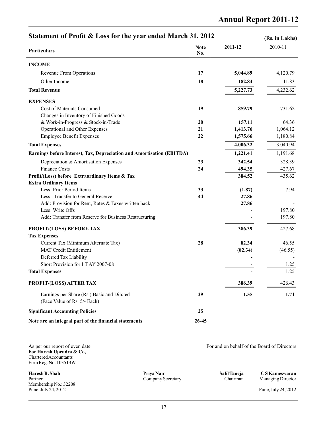### **Statement of Profit & Loss for the year ended March 31, 2012**

**(Rs. in Lakhs)**

| <b>Particulars</b>                                                    | <b>Note</b><br>No. | 2011-12  | 2010-11  |
|-----------------------------------------------------------------------|--------------------|----------|----------|
| <b>INCOME</b>                                                         |                    |          |          |
| Revenue From Operations                                               | 17                 | 5,044.89 | 4,120.79 |
| Other Income                                                          | 18                 | 182.84   | 111.83   |
| <b>Total Revenue</b>                                                  |                    | 5,227.73 | 4,232.62 |
| <b>EXPENSES</b>                                                       |                    |          |          |
| Cost of Materials Consumed                                            | 19                 | 859.79   | 731.62   |
| Changes in Inventory of Finished Goods                                |                    |          |          |
| & Work-in-Progress & Stock-in-Trade                                   | 20                 | 157.11   | 64.36    |
| Operational and Other Expenses                                        | 21                 | 1,413.76 | 1,064.12 |
| <b>Employee Benefit Expenses</b>                                      | 22                 | 1,575.66 | 1,180.84 |
| <b>Total Expenses</b>                                                 |                    | 4,006.32 | 3,040.94 |
| Earnings before Interest, Tax, Depreciation and Amortisation (EBITDA) |                    | 1,221.41 | 1,191.68 |
| Depreciation & Amortisation Expenses                                  | 23                 | 342.54   | 328.39   |
| <b>Finance Costs</b>                                                  | 24                 | 494.35   | 427.67   |
| Profit/(Loss) before Extraordinary Items & Tax                        |                    | 384.52   | 435.62   |
| <b>Extra Ordinary Items</b>                                           |                    |          |          |
| Less: Prior Period Items                                              | 33                 | (1.87)   | 7.94     |
| Less: Transfer to General Reserve                                     | 44                 | 27.86    |          |
| Add: Provision for Rent, Rates & Taxes written back                   |                    | 27.86    |          |
| Less: Write Offs                                                      |                    |          | 197.80   |
| Add: Transfer from Reserve for Business Restructuring                 |                    |          | 197.80   |
| PROFIT/(LOSS) BEFORE TAX                                              |                    | 386.39   | 427.68   |
| <b>Tax Expenses</b>                                                   |                    |          |          |
| Current Tax (Minimum Alternate Tax)                                   | 28                 | 82.34    | 46.55    |
| <b>MAT Credit Entitlement</b>                                         |                    | (82.34)  | (46.55)  |
| Deferred Tax Liability                                                |                    |          |          |
| Short Provision for I.T AY 2007-08                                    |                    |          | 1.25     |
| <b>Total Expenses</b>                                                 |                    |          | 1.25     |
| <b>PROFIT/(LOSS) AFTER TAX</b>                                        |                    | 386.39   | 426.43   |
| Earnings per Share (Rs.) Basic and Diluted                            | 29                 | 1.55     | 1.71     |
| (Face Value of Rs. 5/- Each)                                          |                    |          |          |
| <b>Significant Accounting Policies</b>                                | 25                 |          |          |
| Note are an integral part of the financial statements                 | $26 - 45$          |          |          |
|                                                                       |                    |          |          |

As per our report of even date For and on behalf of the Board of Directors **For Haresh Upendra & Co,**  Chartered Accountants Firm Reg. No. 103513W

**Haresh B. Shah Shah Shah Shah Shah Salil Taneja C S Kameswaran**<br>
Partner Company Secretary Chairman Managing Director Partner **Company Secretary** Company Company Company Chairman Managing Director Membership No.: 32208 Pune, July 24, 2012 Pune, July 24, 2012

**Priya Nair**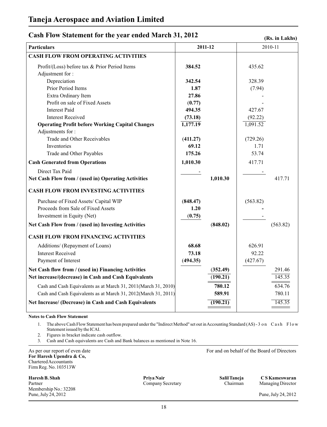### **Cash Flow Statement for the year ended March 31, 2012**

#### **(Rs. in Lakhs)**

| <b>Particulars</b>                                             | 2011-12  | 2010-11  |
|----------------------------------------------------------------|----------|----------|
| <b>CASH FLOW FROM OPERATING ACTIVITIES</b>                     |          |          |
| Profit/(Loss) before tax & Prior Period Items                  | 384.52   | 435.62   |
| Adjustment for:                                                |          |          |
| Depreciation                                                   | 342.54   | 328.39   |
| Prior Period Items                                             | 1.87     | (7.94)   |
| Extra Ordinary Item                                            | 27.86    |          |
| Profit on sale of Fixed Assets                                 | (0.77)   |          |
| <b>Interest Paid</b>                                           | 494.35   | 427.67   |
| <b>Interest Received</b>                                       | (73.18)  | (92.22)  |
| <b>Operating Profit before Working Capital Changes</b>         | 1,177.19 | 1,091.52 |
| Adjustments for:                                               |          |          |
| <b>Trade and Other Receivables</b>                             | (411.27) | (729.26) |
| Inventories                                                    | 69.12    | 1.71     |
| Trade and Other Payables                                       | 175.26   | 53.74    |
| <b>Cash Generated from Operations</b>                          | 1,010.30 | 417.71   |
| Direct Tax Paid                                                |          |          |
| Net Cash Flow from / (used in) Operating Activities            | 1,010.30 | 417.71   |
| <b>CASH FLOW FROM INVESTING ACTIVITIES</b>                     |          |          |
| Purchase of Fixed Assets/ Capital WIP                          | (848.47) | (563.82) |
| Proceeds from Sale of Fixed Assets                             | 1.20     |          |
| Investment in Equity (Net)                                     | (0.75)   |          |
| Net Cash Flow from / (used in) Investing Activities            | (848.02) | (563.82) |
| <b>CASH FLOW FROM FINANCING ACTIVITIES</b>                     |          |          |
| Additions/ (Repayment of Loans)                                | 68.68    | 626.91   |
| <b>Interest Received</b>                                       | 73.18    | 92.22    |
| Payment of Interest                                            | (494.35) | (427.67) |
| Net Cash flow from / (used in) Financing Activities            | (352.49) | 291.46   |
| Net increase/(decrease) in Cash and Cash Equivalents           | (190.21) | 145.35   |
| Cash and Cash Equivalents as at March 31, 2011(March 31, 2010) | 780.12   | 634.76   |
| Cash and Cash Equivalents as at March 31, 2012(March 31, 2011) | 589.91   | 780.11   |
| Net Increase/ (Decrease) in Cash and Cash Equivalents          | (190.21) | 145.35   |

#### **Notes to Cash Flow Statement**

1. The above Cash Flow Statement has been prepared under the "Indirect Method" set out in Accounting Standard (AS) - 3 on Cash Flow Statement issued by the ICAI.

2. Figures in bracket indicate cash outflow.

3. Cash and Cash equivalents are Cash and Bank balances as mentioned in Note 16.

As per our report of even date For and on behalf of the Board of Directors **For Haresh Upendra & Co,**  Chartered Accountants Firm Reg. No. 103513W

**Haresh B. Shah Shah Shah Shah Shah Salil Taneja C S Kameswaran**<br>
Partner Company Secretary Salil Taneja C S Kameswaran<br>
Company Secretary Chairman Managing Director Partner **Company Secretary** Company Company Company Chairman Managing Director Membership No.: 32208<br>Pune, July 24, 2012

**Priya Nair**

Pune, July 24, 2012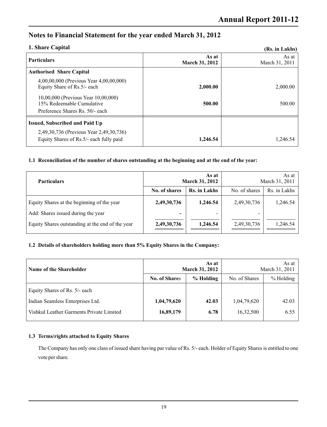## **Notes to Financial Statement for the year ended March 31, 2012**

#### **1. Share Capital**

| 1. Share Capital                                                                                    |                         | (Rs. in Lakhs)          |
|-----------------------------------------------------------------------------------------------------|-------------------------|-------------------------|
| <b>Particulars</b>                                                                                  | As at<br>March 31, 2012 | As at<br>March 31, 2011 |
| <b>Authorised Share Capital</b>                                                                     |                         |                         |
| 4,00,00,000 (Previous Year 4,00,00,000)<br>Equity Share of Rs.5/- each                              | 2,000.00                | 2,000.00                |
| 10,00,000 (Previous Year 10,00,000)<br>15% Redeemable Cumulative<br>Preference Shares Rs. 50/- each | 500.00                  | 500.00                  |
| <b>Issued, Subscribed and Paid Up</b>                                                               |                         |                         |
| 2,49,30,736 (Previous Year 2,49,30,736)<br>Equity Shares of Rs.5/- each fully paid                  | 1.246.54                | 1.246.54                |

#### **1.1 Reconciliation of the number of shares outstanding at the beginning and at the end of the year:**

| <b>Particulars</b>                               | As at<br><b>March 31, 2012</b> |                          | As at<br>March 31, 2011  |              |
|--------------------------------------------------|--------------------------------|--------------------------|--------------------------|--------------|
|                                                  | No. of shares                  | Rs. in Lakhs             | No. of shares            | Rs. in Lakhs |
| Equity Shares at the beginning of the year       | 2,49,30,736                    | 1,246.54                 | 2,49,30,736              | 1,246.54     |
| Add: Shares issued during the year               | $\overline{\phantom{0}}$       | $\overline{\phantom{0}}$ | $\overline{\phantom{0}}$ |              |
| Equity Shares outstanding at the end of the year | 2,49,30,736                    | 1,246.54                 | 2,49,30,736              | 1,246.54     |

#### **1.2 Details of shareholders holding more than 5% Equity Shares in the Company:**

| Name of the Shareholder                  | As at<br><b>March 31, 2012</b> |           | As at<br>March 31, 2011 |           |
|------------------------------------------|--------------------------------|-----------|-------------------------|-----------|
|                                          | <b>No. of Shares</b>           | % Holding | No. of Shares           | % Holding |
| Equity Shares of Rs. 5/- each            |                                |           |                         |           |
| Indian Seamless Enterprises Ltd.         | 1,04,79,620                    | 42.03     | 1,04,79,620             | 42.03     |
| Vishkul Leather Garments Private Limited | 16,89,179                      | 6.78      | 16,32,500               | 6.55      |

#### **1.3 Terms/rights attached to Equity Shares**

The Company has only one class of issued share having par value of Rs. 5/- each. Holder of Equity Shares is entitled to one vote per share.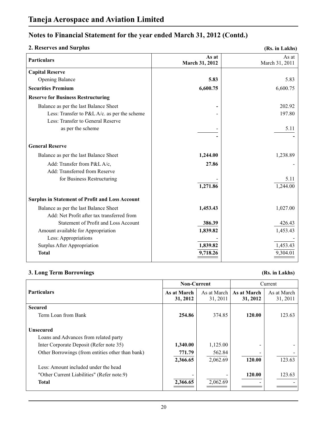### **2. Reserves and Surplus**

```
(Rs. in Lakhs)
```

| <b>Particulars</b>                                     | As at<br>March 31, 2012 | As at<br>March 31, 2011 |
|--------------------------------------------------------|-------------------------|-------------------------|
| <b>Capital Reserve</b>                                 |                         |                         |
| <b>Opening Balance</b>                                 | 5.83                    | 5.83                    |
| <b>Securities Premium</b>                              | 6,600.75                | 6,600.75                |
| <b>Reserve for Business Restructuring</b>              |                         |                         |
| Balance as per the last Balance Sheet                  |                         | 202.92                  |
| Less: Transfer to P&L A/c. as per the scheme           |                         | 197.80                  |
| Less: Transfer to General Reserve                      |                         |                         |
| as per the scheme                                      |                         | 5.11                    |
|                                                        |                         |                         |
| <b>General Reserve</b>                                 |                         |                         |
| Balance as per the last Balance Sheet                  | 1,244.00                | 1,238.89                |
| Add: Transfer from P&L A/c,                            | 27.86                   |                         |
| Add: Transferred from Reserve                          |                         |                         |
| for Business Restructuring                             |                         | 5.11                    |
|                                                        | 1,271.86                | 1,244.00                |
| <b>Surplus in Statement of Profit and Loss Account</b> |                         |                         |
| Balance as per the last Balance Sheet                  | 1,453.43                | 1,027.00                |
| Add: Net Profit after tax transferred from             |                         |                         |
| Statement of Profit and Loss Account                   | 386.39                  | 426.43                  |
| Amount available for Appropriation                     | 1,839.82                | 1,453.43                |
| Less: Appropriations                                   |                         |                         |
| Surplus After Appropriation                            | 1,839.82                | 1,453.43                |
| <b>Total</b>                                           | 9,718.26                | 9,304.01                |

### **3. Long Term Borrowings (Rs. in Lakhs)**

|                                                  | <b>Non-Current</b>      |                         | Current                 |                         |
|--------------------------------------------------|-------------------------|-------------------------|-------------------------|-------------------------|
| <b>Particulars</b>                               | As at March<br>31, 2012 | As at March<br>31, 2011 | As at March<br>31, 2012 | As at March<br>31, 2011 |
| <b>Secured</b>                                   |                         |                         |                         |                         |
| Term Loan from Bank                              | 254.86                  | 374.85                  | 120.00                  | 123.63                  |
| <b>Unsecured</b>                                 |                         |                         |                         |                         |
| Loans and Advances from related party            |                         |                         |                         |                         |
| Inter Corporate Deposit (Refer note 35)          | 1,340.00                | 1,125.00                |                         |                         |
| Other Borrowings (from entities other than bank) | 771.79                  | 562.84                  |                         |                         |
|                                                  | 2,366.65                | 2,062.69                | 120.00                  | 123.63                  |
| Less: Amount included under the head             |                         |                         |                         |                         |
| "Other Current Liabilities" (Refer note.9)       |                         |                         | 120.00                  | 123.63                  |
| <b>Total</b>                                     | 2,366.65                | 2,062.69                |                         |                         |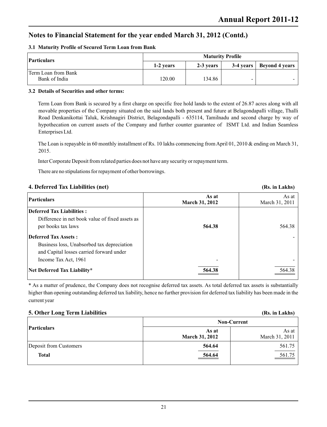#### **3.1 Maturity Profile of Secured Term Loan from Bank**

| Particulars                          | <b>Maturity Profile</b> |           |   |                            |
|--------------------------------------|-------------------------|-----------|---|----------------------------|
|                                      | 1-2 years               | 2-3 years |   | 3-4 years   Beyond 4 years |
| Term Loan from Bank<br>Bank of India | 120.00                  | 134.86    | - |                            |

#### **3.2 Details of Securities and other terms:**

Term Loan from Bank is secured by a first charge on specific free hold lands to the extent of 26.87 acres along with all movable properties of the Company situated on the said lands both present and future at Belagondapalli village, Thalli Road Denkanikottai Taluk, Krishnagiri District, Belagondapalli - 635114, Tamilnadu and second charge by way of hypothecation on current assets of the Company and further counter guarantee of ISMT Ltd. and Indian Seamless Enterprises Ltd.

The Loan is repayable in 60 monthly installment of Rs. 10 lakhs commencing from April 01, 2010 & ending on March 31, 2015.

Inter Corporate Deposit from related parties does not have any security or repayment term.

There are no stipulations for repayment of other borrowings.

### **4. Deferred Tax Liabilities (net)**

### **Deferred Tax Liabilities :** Difference in net book value of fixed assets as per books tax laws **564.38** 564.38 **Deferred Tax Assets :** - Business loss, Unabsorbed tax depreciation and Capital losses carried forward under Income Tax Act, 1961 **Net Deferred Tax Liability\* 564.38** 564.38 **As at** As at **March 31, 2012** March 31, 2011 **Particulars**

\* As a matter of prudence, the Company does not recognise deferred tax assets. As total deferred tax assets is substantially higher than opening outstanding deferred tax liability, hence no further provision for deferred tax liability has been made in the current year

### **5. Other Long Term Liabilities (Rs. in Lakhs)**

|                        |                                | <b>Non-Current</b>      |
|------------------------|--------------------------------|-------------------------|
| <b>Particulars</b>     | As at<br><b>March 31, 2012</b> | As at<br>March 31, 2011 |
| Deposit from Customers | 564.64                         | 561.75                  |
| <b>Total</b>           | 564.64                         | $\frac{561.75}{2}$      |

**(Rs. in Lakhs)**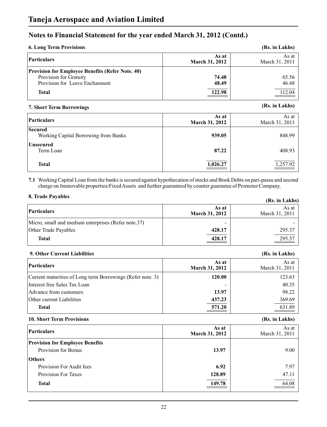| <b>6. Long Term Provisions</b>                          |                                | (Rs. in Lakhs)          |
|---------------------------------------------------------|--------------------------------|-------------------------|
| Particulars                                             | As at<br><b>March 31, 2012</b> | As at<br>March 31, 2011 |
| <b>Provision for Employee Benefits (Refer Note. 40)</b> |                                |                         |
| Provision for Gratuity                                  | 74.48                          | 65.56                   |
| Provision for Leave Enchasment                          | 48.49                          | 46.48                   |
| <b>Total</b>                                            | 122.98                         | 112.04                  |

### **(Rs. in Lakhs) 7. Short Term Borrowings**

| <b>Particulars</b>                                     | As at<br><b>March 31, 2012</b> | As at<br>March 31, 2011 |
|--------------------------------------------------------|--------------------------------|-------------------------|
| <b>Secured</b><br>Working Capital Borrowing from Banks | 939.05                         | 848.99                  |
| <b>Unsecured</b><br>Term Loan                          | 87.22                          | 408.93                  |
| <b>Total</b>                                           | 1,026.27                       | 1,257.92                |

**7.1** Working Capital Loan from the banks is secured against hypothecation of stocks and Book Debts on pari-passu and second charge on Immovable properties/Fixed Assets and further guaranteed by counter guarantee of Promoter Company.

#### **8. Trade Payables**

| 0. Haut I avabits                                   |                                | (Rs. in Lakhs)          |
|-----------------------------------------------------|--------------------------------|-------------------------|
| <b>Particulars</b>                                  | As at<br><b>March 31, 2012</b> | As at<br>March 31, 2011 |
| Micro, small and medium enterprises (Refer note.37) | -                              |                         |
| Other Trade Payables                                | 428.17                         | 295.37                  |
| <b>Total</b>                                        | 428.17                         | 295.37                  |

#### **9. Other Current Liabilities (Rs. in Lakhs)**

| Particulars                                                | As at<br><b>March 31, 2012</b> | As at<br>March 31, 2011 |
|------------------------------------------------------------|--------------------------------|-------------------------|
| Current maturities of Long term Borrowings (Refer note. 3) | 120.00                         | 123.63                  |
| Interest free Sales Tax Loan                               |                                | 40.35                   |
| Advance from customers                                     | 13.97                          | 98.22                   |
| Other current Liabilities                                  | 437.23                         | 369.69                  |
| <b>Total</b>                                               | 571.20                         | 631.89                  |

#### **10. Short Term Provisions (Rs. in Lakhs)**

| Particulars                            | As at<br>March 31, 2012 | As at<br>March 31, 2011 |
|----------------------------------------|-------------------------|-------------------------|
| <b>Provision for Employee Benefits</b> |                         |                         |
| Provision for Bonus                    | 13.97                   | 9.00                    |
| <b>Others</b>                          |                         |                         |
| Provision For Audit fees               | 6.92                    | 7.97                    |
| <b>Provision For Taxes</b>             | 128.89                  | 47.11                   |
| <b>Total</b>                           | 149.78                  | 64.08                   |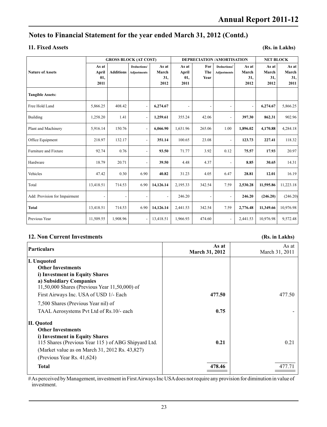#### **11. Fixed Assets**

**(Rs. in Lakhs)**

|                               |                               |                  | <b>GROSS BLOCK (AT COST)</b>      |                               | <b>DEPRECIATION/AMORTISATION</b> |                          |                                   | <b>NET BLOCK</b>              |                               |                               |
|-------------------------------|-------------------------------|------------------|-----------------------------------|-------------------------------|----------------------------------|--------------------------|-----------------------------------|-------------------------------|-------------------------------|-------------------------------|
| <b>Nature of Assets</b>       | As at<br>April<br>01,<br>2011 | <b>Additions</b> | Deductions/<br><b>Adjustments</b> | As at<br>March<br>31,<br>2012 | As at<br>April<br>01,<br>2011    | For<br>The<br>Year       | Deductions/<br><b>Adjustments</b> | As at<br>March<br>31,<br>2012 | As at<br>March<br>31,<br>2012 | As at<br>March<br>31,<br>2011 |
| <b>Tangible Assets:</b>       |                               |                  |                                   |                               |                                  |                          |                                   |                               |                               |                               |
| Free Hold Land                | 5,866.25                      | 408.42           |                                   | 6,274.67                      | $\overline{a}$                   | $\overline{\phantom{a}}$ | $\overline{\phantom{a}}$          |                               | 6,274.67                      | 5,866.25                      |
| Building                      | 1,258.20                      | 1.41             |                                   | 1,259.61                      | 355.24                           | 42.06                    | $\overline{a}$                    | 397.30                        | 862.31                        | 902.96                        |
| Plant and Machinery           | 5,916.14                      | 150.76           |                                   | 6,066.90                      | 1,631.96                         | 265.06                   | 1.00                              | 1,896.02                      | 4,170.88                      | 4,284.18                      |
| Office Equipment              | 218.97                        | 132.17           |                                   | 351.14                        | 100.65                           | 23.08                    | $\blacksquare$                    | 123.73                        | 227.41                        | 118.32                        |
| Furniture and Fixture         | 92.74                         | 0.76             |                                   | 93.50                         | 71.77                            | 3.92                     | 0.12                              | 75.57                         | 17.93                         | 20.97                         |
| Hardware                      | 18.79                         | 20.71            |                                   | 39.50                         | 4.48                             | 4.37                     | $\overline{\phantom{a}}$          | 8.85                          | 30.65                         | 14.31                         |
| Vehicles                      | 47.42                         | 0.30             | 6.90                              | 40.82                         | 31.23                            | 4.05                     | 6.47                              | 28.81                         | 12.01                         | 16.19                         |
| Total                         | 13,418.51                     | 714.53           | 6.90                              | 14,126.14                     | 2,195.33                         | 342.54                   | 7.59                              | 2,530.28                      | 11,595.86                     | 11,223.18                     |
| Add: Provision for Impairment |                               | $\overline{a}$   |                                   | $\overline{\phantom{a}}$      | 246.20                           |                          | $\overline{\phantom{a}}$          | 246.20                        | (246.20)                      | (246.20)                      |
| <b>Total</b>                  | 13,418.51                     | 714.53           | 6.90                              | 14,126.14                     | 2,441.53                         | 342.54                   | 7.59                              | 2,776.48                      | 11,349.66                     | 10,976.98                     |
| Previous Year                 | 11,509.55                     | 1,908.96         |                                   | 13,418.51                     | 1,966.93                         | 474.60                   |                                   | 2,441.53                      | 10,976.98                     | 9,572.48                      |

### **12. Non Current Investments (Rs. in Lakhs)**

### **As at** <br>**As at** <br>**As at** <br>**As at** <br>**As at** <br>**March 31, 2011 March 31, 2012 I. Unquoted Other Investments i) Investment in Equity Shares a) Subsidiary Companies** 11,50,000 Shares (Previous Year 11,50,000) of First Airways Inc. USA of USD 1/- Each **477.50** 477.50 7,500 Shares (Previous Year nil) of TAAL Aerosystems Pvt Ltd of Rs.10<sup>/</sup>- each **0.75** 0.75 **II. Quoted Other Investments i) Investment in Equity Shares** 115 Shares (Previous Year 115 ) of ABG Shipyard Ltd. **0.21** 0.21 (Market value as on March 31, 2012 Rs. 43,827) (Previous Year Rs. 41,624) **Particulars**

# As perceived by Management, investment in First Airways Inc USA does not require any provision for diminution in value of investment.

**Total 478.46** 477.71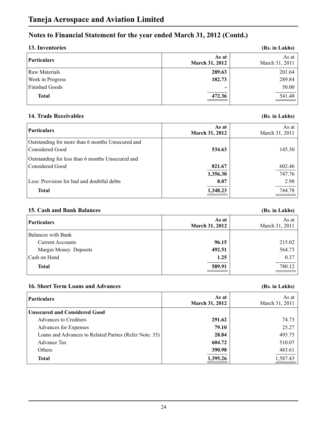| 13. Inventories       |                                | (Rs. in Lakhs)          |
|-----------------------|--------------------------------|-------------------------|
| Particulars           | As at<br><b>March 31, 2012</b> | As at<br>March 31, 2011 |
| <b>Raw Materials</b>  | 289.63                         | 201.64                  |
| Work in Progress      | 182.73                         | 289.84                  |
| <b>Finished Goods</b> | -                              | 50.00                   |
| <b>Total</b>          | 472.36                         | 541.48                  |

### **14. Trade Receivables (Rs. in Lakhs)**

| <b>Particulars</b>                                                  | As at<br><b>March 31, 2012</b> | As at<br>March 31, 2011 |
|---------------------------------------------------------------------|--------------------------------|-------------------------|
| Outstanding for more than 6 months Unsecured and<br>Considered Good | 534.63                         | 145.30                  |
| Outstanding for less than 6 months Unsecured and                    |                                |                         |
| Considered Good                                                     | 821.67                         | 602.46                  |
|                                                                     | 1,356.30                       | 747.76                  |
| Less: Provision for bad and doubtful debts                          | 8.07                           | 2.98                    |
| <b>Total</b>                                                        | 1,348.23                       | 744.78                  |

#### **15. Cash and Bank Balances (Rs. in Lakhs)**

| As at<br><b>March 31, 2012</b> | As at<br>March 31, 2011 |
|--------------------------------|-------------------------|
|                                |                         |
| 96.15                          | 215.02                  |
| 492.51                         | 564.73                  |
| 1.25                           | 0.37                    |
| 589.91                         | 780.12                  |
|                                |                         |

### **16. Short Term Loans and Advances (Rs. in Lakhs)**

| Particulars                                            | As at<br><b>March 31, 2012</b> | As at<br>March 31, 2011 |
|--------------------------------------------------------|--------------------------------|-------------------------|
| Unsecured and Considered Good                          |                                |                         |
| Advances to Creditors                                  | 291.62                         | 74.73                   |
| Advances for Expenses                                  | 79.10                          | 25.27                   |
| Loans and Advances to Related Parties (Refer Note. 35) | 28.84                          | 493.75                  |
| <b>Advance Tax</b>                                     | 604.72                         | 510.07                  |
| Others                                                 | 390.98                         | 483.61                  |
| <b>Total</b>                                           | 1,395.26                       | 1,587.43                |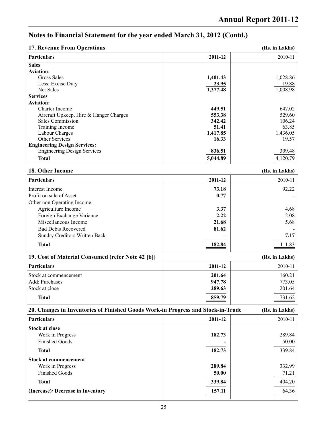**(Rs. in Lakhs)**

## **Notes to Financial Statement for the year ended March 31, 2012 (Contd.)**

#### **17. Revenue From Operations**

| <b>Particulars</b>                     | 2011-12  | 2010-11  |
|----------------------------------------|----------|----------|
| <b>Sales</b>                           |          |          |
| <b>Aviation:</b>                       |          |          |
| Gross Sales                            | 1,401.43 | 1,028.86 |
| Less: Excise Duty                      | 23.95    | 19.88    |
| Net Sales                              | 1,377.48 | 1,008.98 |
| <b>Services</b>                        |          |          |
| <b>Aviation:</b>                       |          |          |
| Charter Income                         | 449.51   | 647.02   |
| Aircraft Upkeep, Hire & Hanger Charges | 553.38   | 529.60   |
| Sales Commission                       | 342.42   | 106.24   |
| Training Income                        | 51.41    | 63.85    |
| Labour Charges                         | 1,417.85 | 1,436.05 |
| Other Services                         | 16.33    | 19.57    |
| <b>Engineering Design Services:</b>    |          |          |
| <b>Engineering Design Services</b>     | 836.51   | 309.48   |
| <b>Total</b>                           | 5,044.89 | 4,120.79 |

#### **18. Other Income (Rs. in Lakhs)**

| <b>Particulars</b>                   | 2011-12 | 2010-11 |
|--------------------------------------|---------|---------|
| Interest Income                      | 73.18   | 92.22   |
| Profit on sale of Asset              | 0.77    |         |
| Other non Operating Income:          |         |         |
| Agriculture Income                   | 3.37    | 4.68    |
| Foreign Exchange Variance            | 2.22    | 2.08    |
| Miscellaneous Income                 | 21.68   | 5.68    |
| <b>Bad Debts Recovered</b>           | 81.62   |         |
| <b>Sundry Creditors Written Back</b> |         | 7.17    |
| <b>Total</b>                         | 182.84  | 111.83  |

### **19. Cost of Material Consumed (refer Note 42 [b]) (Rs. in Lakhs) Particulars 2011-12** 2010-11 Stock at commencement **201.64** 160.21 Add: Purchases **947.78** 773.05<br>Stock at close **997.78** 773.05 Stock at close **289.63** 201.64

**Total 859.79** 731.62

| 20. Changes in Inventories of Finished Goods Work-in Progress and Stock-in-Trade |         | (Rs. in Lakhs)  |
|----------------------------------------------------------------------------------|---------|-----------------|
| Particulars                                                                      | 2011-12 | 2010-11         |
| <b>Stock at close</b>                                                            |         |                 |
| Work in Progress<br><b>Finished Goods</b>                                        | 182.73  | 289.84<br>50.00 |
| <b>Total</b>                                                                     | 182.73  | 339.84          |
| Stock at commencement                                                            |         |                 |
| Work in Progress                                                                 | 289.84  | 332.99          |
| <b>Finished Goods</b>                                                            | 50.00   | 71.21           |
| <b>Total</b>                                                                     | 339.84  | 404.20          |
| (Increase)/Decrease in Inventory                                                 | 157.11  | 64.36           |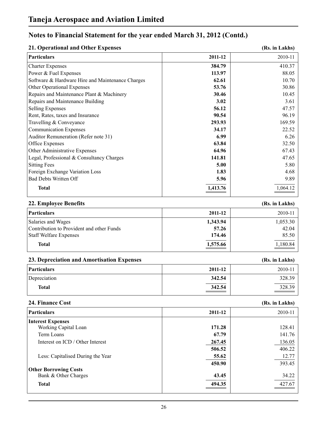| 21. Operational and Other Expenses               | (Rs. in Lakhs) |                |
|--------------------------------------------------|----------------|----------------|
| <b>Particulars</b>                               | 2011-12        | 2010-11        |
| <b>Charter Expenses</b>                          | 384.79         | 410.37         |
| Power & Fuel Expenses                            | 113.97         | 88.05          |
| Software & Hardware Hire and Maintenance Charges | 62.61          | 10.70          |
| Other Operational Expenses                       | 53.76          | 30.86          |
| Repairs and Maintenance Plant & Machinery        | 30.46          | 10.45          |
| Repairs and Maintenance Building                 | 3.02           | 3.61           |
| <b>Selling Expenses</b>                          | 56.12          | 47.57          |
| Rent, Rates, taxes and Insurance                 | 90.54          | 96.19          |
| Travelling & Conveyance                          | 293.93         | 169.59         |
| <b>Communication Expenses</b>                    | 34.17          | 22.52          |
| Auditor Remuneration (Refer note 31)             | 6.99           | 6.26           |
| Office Expenses                                  | 63.84          | 32.50          |
| Other Administrative Expenses                    | 64.96          | 67.43          |
| Legal, Professional & Consultancy Charges        | 141.81         | 47.65          |
| <b>Sitting Fees</b>                              | 5.00           | 5.80           |
| <b>Foreign Exchange Variation Loss</b>           | 1.83           | 4.68           |
| <b>Bad Debts Written Off</b>                     | 5.96           | 9.89           |
| <b>Total</b>                                     | 1,413.76       | 1,064.12       |
| 22. Employee Benefits                            |                | (Rs. in Lakhs) |
| <b>Particulars</b>                               | 2011-12        | 2010-11        |
| Salaries and Wages                               | 1,343.94       | 1,053.30       |
| Contribution to Provident and other Funds        | 57.26          | 42.04          |
| <b>Staff Welfare Expenses</b>                    | 174.46         | 85.50          |
| <b>Total</b>                                     | 1,575.66       | 1,180.84       |
| 23. Depreciation and Amortisation Expenses       |                | (Rs. in Lakhs) |
| <b>Particulars</b>                               | 2011-12        | 2010-11        |
| Depreciation                                     | 342.54         | 328.39         |
| <b>Total</b>                                     | 342.54         | 328.39         |
| 24. Finance Cost                                 |                | (Rs. in Lakhs) |
| <b>Particulars</b>                               | 2011-12        | 2010-11        |
| <b>Interest Expenses</b>                         |                |                |
| Working Capital Loan                             | 171.28         | 128.41         |
| Term Loans                                       | 67.79          | 141.76         |
| Interest on ICD / Other Interest                 | 267.45         | 136.05         |
|                                                  | 506.52         | 406.22         |
| Less: Capitalised During the Year                | 55.62          | 12.77          |
|                                                  | 450.90         | 393.45         |
| <b>Other Borrowing Costs</b>                     |                |                |
| Bank & Other Charges                             | 43.45          | 34.22          |

**Total 494.35** 427.67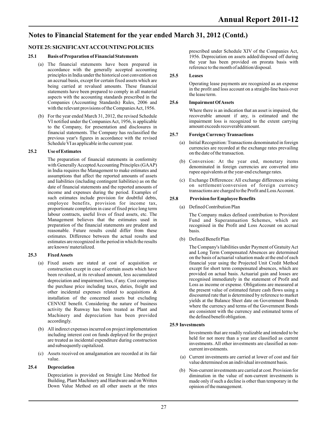#### **NOTE 25: SIGNIFICANTACCOUNTING POLICIES**

#### **25.1 Basis of Preparation of Financial Statements**

- (a) The financial statements have been prepared in accordance with the generally accepted accounting principles in India under the historical cost convention on an accrual basis, except for certain fixed assets which are being carried at revalued amounts. These financial statements have been prepared to comply in all material aspects with the accounting standards prescribed in the Companies (Accounting Standards) Rules, 2006 and with the relevant provisions of the Companies Act, 1956.
- (b) For the year ended March 31, 2012, the revised Schedule VI notified under the Companies Act, 1956, is applicable to the Company, for presentation and disclosures in financial statements. The Company has reclassified the previous year's figures in accordance with the revised Schedule VI as applicable in the current year.

#### **25.2 Use of Estimates**

The preparation of financial statements in conformity with Generally Accepted Accounting Principles (GAAP) in India requires the Management to make estimates and assumptions that affect the reported amounts of assets and liabilities (including contingent liabilities) as on the date of financial statements and the reported amounts of income and expenses during the period. Examples of such estimates include provision for doubtful debts, employee benefits, provision for income tax, proportionate completion in case of fixed price long term labour contracts, useful lives of fixed assets, etc. The Management believes that the estimates used in preparation of the financial statements are prudent and reasonable. Future results could differ from these estimates. Difference between the actual results and estimates are recognized in the period in which the results are known/ materialized.

#### **25.3 Fixed Assets**

- (a) Fixed assets are stated at cost of acquisition or construction except in case of certain assets which have been revalued, at its revalued amount, less accumulated depreciation and impairment loss, if any. Cost comprises the purchase price including taxes, duties, freight and other incidental expenses related to acquisitions & installation of the concerned assets but excluding CENVAT benefit. Considering the nature of business activity the Runway has been treated as Plant and Machinery and depreciation has been provided accordingly.
- (b) All indirect expenses incurred on project implementation including interest cost on funds deployed for the project are treated as incidental expenditure during construction and subsequently capitalized.
- (c) Assets received on amalgamation are recorded at its fair value.

#### **25.4 Depreciation**

Depreciation is provided on Straight Line Method for Building, Plant Machinery and Hardware and on Written Down Value Method on all other assets at the rates prescribed under Schedule XIV of the Companies Act, 1956. Depreciation on assets added/disposed off during the year has been provided on prorata basis with reference to the month of addition/disposal.

#### **25.5 Leases**

Operating lease payments are recognized as an expense in the profit and loss account on a straight-line basis over the lease term.

#### **25.6 Impairment Of Assets**

Where there is an indication that an asset is impaired, the recoverable amount if any, is estimated and the impairment loss is recognized to the extent carrying amount exceeds recoverable amount.

#### **25.7 Foreign Currency Transactions**

- (a) Initial Recognition: Transactions denominated in foreign currencies are recorded at the exchange rates prevailing on the date of the transaction.
- (b) Conversion: At the year end, monetary items denominated in foreign currencies are converted into rupee equivalents at the year-end exchange rates.
- (c) Exchange Differences: All exchange differences arising on settlement/conversion of foreign currency transactions are charged to the Profit and Loss Account.

#### **25.8 Provision forEmployee Benefits**

(a) Defined Contribution Plan

The Company makes defined contribution to Provident Fund and Superannuation Schemes, which are recognised in the Profit and Loss Account on accrual basis.

(b) Defined Benefit Plan

The Company's liabilities under Payment of Gratuity Act and Long Term Compensated Absences are determined on the basis of actuarial valuation made at the end of each financial year using the Projected Unit Credit Method except for short term compensated absences, which are provided on actual basis. Actuarial gain and losses are recognised immediately in the statement of Profit and Loss as income or expense. Obligations are measured at the present value of estimated future cash flows using a discounted rate that is determined by reference to market yields at the Balance Sheet date on Government Bonds where the currency and terms of the Government Bonds are consistent with the currency and estimated terms of the defined benefit obligation.

#### **25.9 Investments**

Investments that are readily realizable and intended to be held for not more than a year are classified as current investments. All other investments are classified as noncurrent investments.

- (a) Current investments are carried at lower of cost and fair value determined on an individual investment basis.
- (b) Non-current investments are carried at cost. Provision for diminution in the value of non-current investments is made only if such a decline is other than temporary in the opinion of the management.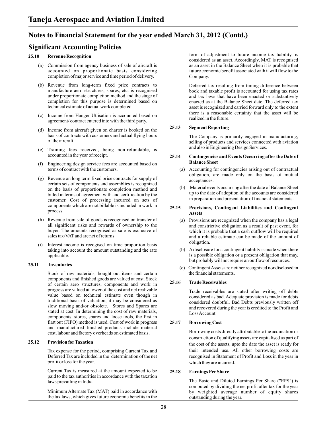### **Significant Accounting Policies**

#### **25.10 Revenue Recognition**

- (a) Commission from agency business of sale of aircraft is accounted on proportionate basis considering completion of major service and time period of delivery.
- (b) Revenue from long-term fixed price contracts to manufacture aero structures, spares, etc. is recognised under proportionate completion method and the stage of completion for this purpose is determined based on technical estimate of actual work completed.
- (c) Income from Hanger Utlisation is accounted based on agreement/ contract entered into with the third party.
- (d) Income from aircraft given on charter is booked on the basis of contracts with customers and actual flying hours of the aircraft.
- (e) Training fees received, being non-refundable, is accounted in the year of receipt.
- (f) Engineering design service fees are accounted based on terms of contract with the customers.
- (g) Revenue on long term fixed price contracts for supply of certain sets of components and assemblies is recognized on the basis of proportionate completion method and billed in terms of agreement with and certification by the customer. Cost of processing incurred on sets of components which are not billable is included in work in process.
- (h) Revenue from sale of goods is recognised on transfer of all significant risks and rewards of ownership to the buyer. The amounts recognised as sale is exclusive of sales tax/VAT and are net of returns.
- (i) Interest income is recogised on time proportion basis taking into account the amount outstanding and the rate applicable.

#### **25.11 Inventories**

Stock of raw materials, bought out items and certain components and finished goods are valued at cost. Stock of certain aero structures, components and work in progress are valued at lower of the cost and net realizable value based on technical estimate even though in traditional basis of valuation, it may be considered as slow moving and/or obsolete. Stores and Spares are stated at cost. In determining the cost of raw materials, components, stores, spares and loose tools, the first in first out (FIFO) method is used. Cost of work in progress and manufactured finished products include material cost, labour and factory overheads on estimated basis.

#### **25.12 Provision forTaxation**

Tax expense for the period, comprising Current Tax and Deferred Tax are included in the determination of the net profit or loss for the year.

Current Tax is measured at the amount expected to be paid to the tax authorities in accordance with the taxation laws prevailing in India.

Minimum Alternate Tax (MAT) paid in accordance with the tax laws, which gives future economic benefits in the

form of adjustment to future income tax liability, is considered as an asset. Accordingly, MAT is recognised as an asset in the Balance Sheet when it is probable that future economic benefit associated with it will flow to the Company.

Deferred tax resulting from timing difference between book and taxable profit is accounted for using tax rates and tax laws that have been enacted or substantively enacted as at the Balance Sheet date. The deferred tax asset is recognized and carried forward only to the extent there is a reasonable certainty that the asset will be realized in the future.

#### **25.13 Segment Reporting**

The Company is primarily engaged in manufacturing, selling of products and services connected with aviation and also in Engineering Design Services.

#### **25.14 Contingencies and Events Occurring after the Date of Balance Sheet**

- (a) Accounting for contingencies arising out of contractual obligation, are made only on the basis of mutual acceptances.
- (b) Material events occurring after the date of Balance Sheet up to the date of adoption of the accounts are considered in preparation and presentation of financial statements.

#### **25.15 Provisions, Contingent Liabilities and Contingent Assets**

- (a) Provisions are recognized when the company has a legal and constrictive obligation as a result of past event, for which it is probable that a cash outflow will be required and a reliable estimate can be made of the amount of obligation.
- (b) Adisclosure for a contingent liability is made when there is a possible obligation or a present obligation that may, but probably will not require an outflow of resources.
- (c) Contingent Assets are neither recognized nor disclosed in the financial statements.

#### **25.16 Trade Receivables**

Trade receivables are stated after writing off debts considered as bad. Adequate provision is made for debts considered doubtful. Bad Debts previously written off and recovered during the year is credited to the Profit and Loss Account.

#### **25.17 Borrowing Cost**

Borrowing costs directly attributable to the acquisition or construction of qualifying assets are capitalised as part of the cost of the assets, upto the date the asset is ready for their intended use. All other borrowing costs are recognised in Statement of Profit and Loss in the year in which they are incurred.

#### **25.18 Earnings PerShare**

The Basic and Diluted Earnings Per Share ("EPS") is computed by dividing the net profit after tax for the year by weighted average number of equity shares outstanding during the year.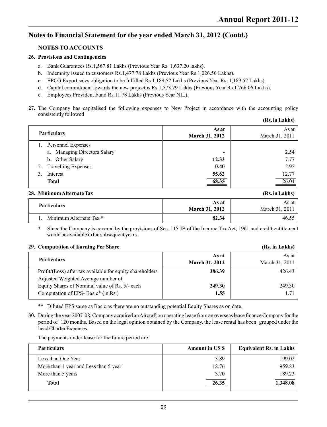### **NOTES TO ACCOUNTS**

#### **26. Provisions and Contingencies**

- a. Bank Guarantees Rs.1,567.81 Lakhs (Previous Year Rs. 1,637.20 lakhs).
- b. Indemnity issued to customers Rs.1,477.78 Lakhs (Previous Year Rs.1,026.50 Lakhs).
- c. EPCG Export sales obligation to be fulfilled Rs.1,189.52 Lakhs (Previous Year Rs. 1,189.52 Lakhs).
- d. Capital commitment towards the new project is Rs.1,573.29 Lakhs (Previous Year Rs.1,266.06 Lakhs).
- e. Employees Provident Fund Rs.11.78 Lakhs (Previous Year NIL).
- **27.** The Company has capitalised the following expenses to New Project in accordance with the accounting policy consistently followed **(Rs. in Lakhs)**

|    |                                 |                       | то ні пинна)   |
|----|---------------------------------|-----------------------|----------------|
|    |                                 | As at                 | As at          |
|    | <b>Particulars</b>              | <b>March 31, 2012</b> | March 31, 2011 |
|    | Personnel Expenses              |                       |                |
|    | Managing Directors Salary<br>a. | -                     | 2.54           |
|    | b. Other Salary                 | 12.33                 | 7.77           |
| 2. | <b>Travelling Expenses</b>      | 0.40                  | 2.95           |
| 3. | Interest                        | 55.62                 | 12.77          |
|    | <b>Total</b>                    | 68.35                 | 26.04          |
|    |                                 |                       |                |

#### **28. Minimum Alternate Tax (Rs. in Lakhs)**

| <b>Particulars</b>      | As at<br><b>March 31, 2012</b> | As at<br>March 31, 2011 |
|-------------------------|--------------------------------|-------------------------|
| Minimum Alternate Tax * | 82.34                          |                         |

Since the Company is covered by the provisions of Sec. 115 JB of the Income Tax Act, 1961 and credit entitlement would be available in the subsequent years.

#### **29. Computation of Earning Per Share (Rs. in Lakhs)**

| <b>Particulars</b>                                                                               | As at<br><b>March 31, 2012</b> | As at<br>March 31, 2011 |
|--------------------------------------------------------------------------------------------------|--------------------------------|-------------------------|
| Profit/(Loss) after tax available for equity shareholders<br>Adjusted Weighted Average number of | 386.39                         | 426.43                  |
| Equity Shares of Nominal value of Rs. 5/- each<br>Computation of EPS-Basic <sup>*</sup> (in Rs.) | 249.30<br>1.55                 | 249.30<br>1.71          |

\*\* Diluted EPS same as Basic as there are no outstanding potential Equity Shares as on date.

**30.** During the year 2007-08, Company acquired an Aircraft on operating lease from an overseas lease finance Company for the period of 120 months. Based on the legal opinion obtained by the Company, the lease rental has been grouped under the head Charter Expenses.

The payments under lease for the future period are:

| <b>Particulars</b>                    | <b>Amount in US \$</b> | <b>Equivalent Rs. in Lakhs</b> |
|---------------------------------------|------------------------|--------------------------------|
| Less than One Year                    | 3.89                   | 199.02                         |
| More than 1 year and Less than 5 year | 18.76                  | 959.83                         |
| More than 5 years                     | 3.70                   | 189.23                         |
| <b>Total</b>                          | 26.35                  | 1,348.08                       |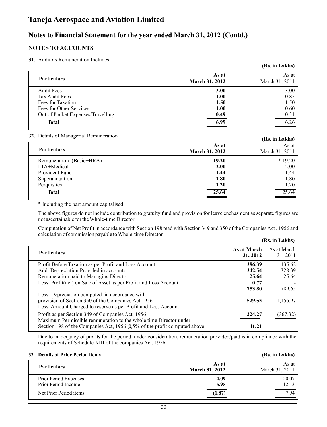### **NOTES TO ACCOUNTS**

#### **31.** Auditors Remuneration Includes

|                                   |                | (Rs. in Lakhs) |
|-----------------------------------|----------------|----------------|
| <b>Particulars</b>                | As at          | As at          |
|                                   | March 31, 2012 | March 31, 2011 |
| <b>Audit Fees</b>                 | 3.00           | 3.00           |
| Tax Audit Fees                    | 1.00           | 0.85           |
| Fees for Taxation                 | 1.50           | 1.50           |
| Fees for Other Services           | 1.00           | 0.60           |
| Out of Pocket Expenses/Travelling | 0.49           | 0.31           |
| <b>Total</b>                      | 6.99           | 6.26           |
|                                   |                |                |

#### **32.** Details of Managerial Remuneration

| $\sum_{i=1}^{n}$                                                                           |                                       | (Rs. in Lakhs)                           |
|--------------------------------------------------------------------------------------------|---------------------------------------|------------------------------------------|
| <b>Particulars</b>                                                                         | As at<br>March 31, 2012               | As at<br>March 31, 2011                  |
| Remuneration (Basic+HRA)<br>LTA+Medical<br>Provident Fund<br>Superannuation<br>Perquisites | 19.20<br>2.00<br>1.44<br>1.80<br>1.20 | $*19.20$<br>2.00<br>1.44<br>1.80<br>1.20 |
| <b>Total</b>                                                                               | 25.64                                 | $\overline{25.64}$                       |

\* Including the part amount capitalised

The above figures do not include contribution to gratuity fund and provision for leave enchasment as separate figures are not ascertainable for the Whole-time Director

Computation of Net Profit in accordance with Section 198 read with Section 349 and 350 of the Companies Act , 1956 and calculation of commission payable to Whole-time Director

|  |  | (Rs. in Lakhs) |
|--|--|----------------|
|--|--|----------------|

| <b>Particulars</b>                                                          | As at March<br>31, 2012 | As at March<br>31, 2011 |
|-----------------------------------------------------------------------------|-------------------------|-------------------------|
| Profit Before Taxation as per Profit and Loss Account                       | 386.39                  | 435.62                  |
| Add: Depreciation Provided in accounts                                      | 342.54                  | 328.39                  |
| Remuneration paid to Managing Director                                      | 25.64                   | 25.64                   |
| Less: Profit(net) on Sale of Asset as per Profit and Loss Account           | 0.77                    |                         |
|                                                                             | 753.80                  | 789.65                  |
| Less: Depreciation computed in accordance with                              |                         |                         |
| provision of Section 350 of the Companies Act, 1956                         | 529.53                  | 1,156.97                |
| Less: Amount Charged to reserve as per Profit and Loss Account              |                         |                         |
| Profit as per Section 349 of Companies Act, 1956                            | 224.27                  | (367.32)                |
| Maximum Permissible remuneration to the whole time Director under           |                         |                         |
| Section 198 of the Companies Act, 1956 $@5\%$ of the profit computed above. | 11.21                   |                         |
|                                                                             |                         |                         |

Due to inadequacy of profits for the period under consideration, remuneration provided/paid is in compliance with the requirements of Schedule XIII of the companies Act, 1956

#### **33. Details of Prior Period items (Rs. in Lakhs)**

| <b>Particulars</b>                           | As at<br><b>March 31, 2012</b> | As at<br>March 31, 2011 |
|----------------------------------------------|--------------------------------|-------------------------|
| Prior Period Expenses<br>Prior Period Income | 4.09<br>5.95                   | 20.07<br>12.13          |
| Net Prior Period items                       | (1.87)                         | $\frac{7.94}{2}$        |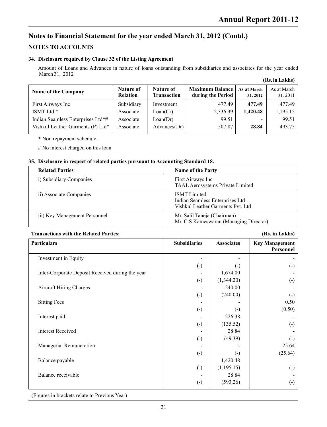### **NOTES TO ACCOUNTS**

#### **34. Disclosure required by Clause 32 of the Listing Agreement**

Amount of Loans and Advances in nature of loans outstanding from subsidiaries and associates for the year ended March 31, 2012 **(Rs. in Lakhs)**

| Name of the Company               | Nature of<br><b>Relation</b> | Nature of<br><b>Transaction</b> | <b>Maximum Balance</b><br>during the Period | As at March<br>31, 2012  | As at March<br>31, 2011 |
|-----------------------------------|------------------------------|---------------------------------|---------------------------------------------|--------------------------|-------------------------|
| First Airways Inc                 | Subsidiary                   | Investment                      | 477.49                                      | 477.49                   | 477.49                  |
| ISMT Ltd *                        | Associate                    | Loan(Cr)                        | 2,336.39                                    | 1.420.48                 | 1,195.15                |
| Indian Seamless Enterprises Ltd*# | Associate                    | Loan(Dr)                        | 99.51                                       | $\overline{\phantom{0}}$ | 99.51                   |
| Vishkul Leather Garments (P) Ltd* | Associate                    | Advances(Dr)                    | 507.87                                      | 28.84                    | 493.75                  |

\* Non repayment schedule

# No interest charged on this loan

#### **35. Disclosure in respect of related parties pursuant to Accounting Standard 18.**

| <b>Related Parties</b>        | <b>Name of the Party</b>                                                                    |
|-------------------------------|---------------------------------------------------------------------------------------------|
| i) Subsidiary Companies       | First Airways Inc<br>TAAL Aerosystems Private Limited                                       |
| ii) Associate Companies       | <b>ISMT</b> Limited<br>Indian Seamless Enterprises Ltd<br>Vishkul Leather Garments Pvt. Ltd |
| iii) Key Management Personnel | Mr. Salil Taneja (Chairman)<br>Mr. C S Kameswaran (Managing Director)                       |

#### **Transactions with the Related Parties: (Rs. in Lakhs)**

| <b>Particulars</b>                               | <b>Subsidiaries</b>    | <b>Associates</b>      | <b>Key Management</b><br>Personnel |
|--------------------------------------------------|------------------------|------------------------|------------------------------------|
| Investment in Equity                             |                        |                        |                                    |
|                                                  | $\left( \cdot \right)$ | $(\cdot)$              | $\left( \cdot \right)$             |
| Inter-Corporate Deposit Received during the year |                        | 1,674.00               |                                    |
|                                                  | $\left( \cdot \right)$ | (1,344.20)             | $\left( \cdot \right)$             |
| <b>Aircraft Hiring Charges</b>                   |                        | 240.00                 |                                    |
|                                                  | $\left( \cdot \right)$ | (240.00)               | $(\cdot)$                          |
| <b>Sitting Fees</b>                              |                        |                        | 0.50                               |
|                                                  | $\left( \cdot \right)$ | $\left( \cdot \right)$ | (0.50)                             |
| Interest paid                                    |                        | 226.38                 |                                    |
|                                                  | $\left( \cdot \right)$ | (135.52)               | $\left( \cdot \right)$             |
| <b>Interest Received</b>                         |                        | 28.84                  |                                    |
|                                                  | $\left( \cdot \right)$ | (49.39)                | $\left( \cdot \right)$             |
| Managerial Remuneration                          |                        |                        | 25.64                              |
|                                                  | $\left( \cdot \right)$ | $(\cdot)$              | (25.64)                            |
| Balance payable                                  |                        | 1,420.48               |                                    |
|                                                  | $\left( \cdot \right)$ | (1,195.15)             | $\left( \cdot \right)$             |
| Balance receivable                               |                        | 28.84                  |                                    |
|                                                  | $\left( \cdot \right)$ | (593.26)               | $\left( \cdot \right)$             |

(Figures in brackets relate to Previous Year)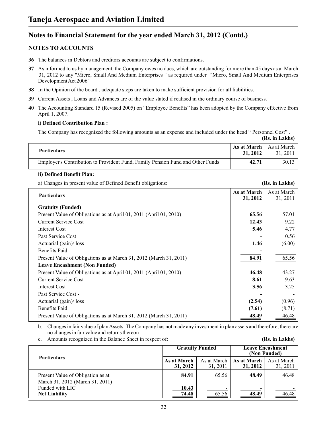### **NOTES TO ACCOUNTS**

- **36** The balances in Debtors and creditors accounts are subject to confirmations.
- **37** As informed to us by management, the Company owes no dues, which are outstanding for more than 45 days as at March 31, 2012 to any "Micro, Small And Medium Enterprises " as required under "Micro, Small And Medium Enterprises Development Act 2006"
- **38** In the Opinion of the board , adequate steps are taken to make sufficient provision for all liabilities.
- **39** Current Assets , Loans and Advances are of the value stated if realised in the ordinary course of business.
- **40** The Accounting Standard 15 (Revised 2005) on "Employee Benefits" has been adopted by the Company effective from April 1, 2007.

#### **i) Defined Contribution Plan :**

The Company has recognized the following amounts as an expense and included under the head " Personnel Cost" .

|                                                                                |                                         | (Rs. in Lakhs) |
|--------------------------------------------------------------------------------|-----------------------------------------|----------------|
| <b>Particulars</b>                                                             | As at March $ $ As at March<br>31, 2012 | 31, 2011       |
| Employer's Contribution to Provident Fund, Family Pension Fund and Other Funds | 42.71                                   | 30.13          |

#### **ii) Defined Benefit Plan:**

a) Changes in present value of Defined Benefit obligations: **(Rs. in Lakhs)**

**As at March** As at March<br>**31, 2012** <br>**As at March 31, 2012** 31, 2011 **Gratuity (Funded)** Present Value of Obligations as at April 01, 2011 (April 01, 2010) **65.56 65.56** 57.01 Current Service Cost **12.43** 9.22 **Interest Cost** 4.77 Past Service Cost **and Service Cost -** 0.56 Actuarial (gain)/ loss **1.46** (6.00) Benefits Paid **-** - Present Value of Obligations as at March 31, 2012 (March 31, 2011) **84.91** 65.56 **Leave Encashment (Non Funded)** Present Value of Obligations as at April 01, 2011 (April 01, 2010) **46.48** 43.27 Current Service Cost **8.61** 9.63 **Interest Cost** 3.25 3.25 Past Service Cost -Actuarial (gain)/ loss **(2.54)** (0.96) Benefits Paid **(7.61)** (8.71) (8.71) Present Value of Obligations as at March 31, 2012 (March 31, 2011) **48.49** 46.48 **Particulars**

b. Changes in fair value of plan Assets: The Company has not made any investment in plan assets and therefore, there are no changes in fair value and returns thereon

c. Amounts recognized in the Balance Sheet in respect of:

|  | (Rs. in Lakhs) |  |
|--|----------------|--|
|  |                |  |

|                                                                      | <b>Gratuity Funded</b>  |                         | <b>Leave Encashment</b><br>(Non Funded) |                         |  |
|----------------------------------------------------------------------|-------------------------|-------------------------|-----------------------------------------|-------------------------|--|
| <b>Particulars</b>                                                   | As at March<br>31, 2012 | As at March<br>31, 2011 | As at March<br>31, 2012                 | As at March<br>31, 2011 |  |
| Present Value of Obligation as at<br>March 31, 2012 (March 31, 2011) | 84.91                   | 65.56                   | 48.49                                   | 46.48                   |  |
| Funded with LIC<br><b>Net Liability</b>                              | 10.43<br>74.48          | 65.56                   | -<br>48.49                              | 46.48                   |  |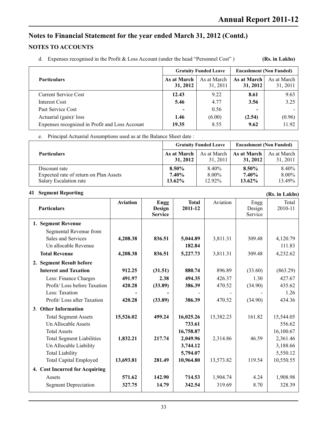### **NOTES TO ACCOUNTS**

d. Expenses recognised in the Profit & Loss Account (under the head "Personnel Cost" )

**(Rs. in Lakhs)**

|                                                |                          | <b>Gratuity Funded Leave</b> | <b>Encashment (Non Funded)</b> |                         |  |
|------------------------------------------------|--------------------------|------------------------------|--------------------------------|-------------------------|--|
| <b>Particulars</b>                             | As at March<br>31, 2012  | As at March<br>31, 2011      | As at March<br>31, 2012        | As at March<br>31, 2011 |  |
| Current Service Cost                           | 12.43                    | 9.22                         | 8.61                           | 9.63                    |  |
| Interest Cost                                  | 5.46                     | 4.77                         | 3.56                           | 3.25                    |  |
| Past Service Cost                              | $\overline{\phantom{a}}$ | 0.56                         | -                              |                         |  |
| Actuarial (gain)/ loss                         | 1.46                     | (6.00)                       | (2.54)                         | (0.96)                  |  |
| Expenses recognized in Profit and Loss Account | 19.35                    | 8.55                         | 9.62                           | 11.92                   |  |

e. Principal Actuarial Assumptions used as at the Balance Sheet date :

|                                        |             | <b>Gratuity Funded Leave</b> | <b>Encashment (Non Funded)</b> |             |  |
|----------------------------------------|-------------|------------------------------|--------------------------------|-------------|--|
| <b>Particulars</b>                     | As at March | As at March                  | As at March                    | As at March |  |
|                                        | 31, 2012    | 31, 2011                     | 31, 2012                       | 31, 2011    |  |
| Discount rate                          | 8.50%       | 8.40%                        | 8.50%                          | 8.40%       |  |
| Expected rate of return on Plan Assets | 7.40%       | $8.00\%$                     | 7.40%                          | $8.00\%$    |  |
| Salary Escalation rate                 | $13.62\%$   | 12.92%                       | $13.62\%$                      | 13.49%      |  |

#### **41 Segment Reporting**

| 41<br><b>Segment Reporting</b>   |                 |                                         |                         |           |                           | (Rs. in Lakhs)   |
|----------------------------------|-----------------|-----------------------------------------|-------------------------|-----------|---------------------------|------------------|
| <b>Particulars</b>               | <b>Aviation</b> | <b>Engg</b><br>Design<br><b>Service</b> | <b>Total</b><br>2011-12 | Aviation  | Engg<br>Design<br>Service | Total<br>2010-11 |
| 1. Segment Revenue               |                 |                                         |                         |           |                           |                  |
| Segmental Revenue from           |                 |                                         |                         |           |                           |                  |
| Sales and Services               | 4,208.38        | 836.51                                  | 5,044.89                | 3,811.31  | 309.48                    | 4,120.79         |
| Un allocable Revenue             |                 |                                         | 182.84                  |           |                           | 111.83           |
| <b>Total Revenue</b>             | 4,208.38        | 836.51                                  | 5,227.73                | 3,811.31  | 309.48                    | 4,232.62         |
| 2. Segment Result before         |                 |                                         |                         |           |                           |                  |
| <b>Interest and Taxation</b>     | 912.25          | (31.51)                                 | 880.74                  | 896.89    | (33.60)                   | (863.29)         |
| Less: Finance Charges            | 491.97          | 2.38                                    | 494.35                  | 426.37    | 1.30                      | 427.67           |
| Profit/Loss before Taxation      | 420.28          | (33.89)                                 | 386.39                  | 470.52    | (34.90)                   | 435.62           |
| Less: Taxation                   |                 |                                         |                         |           |                           | 1.26             |
| Profit/Loss after Taxation       | 420.28          | (33.89)                                 | 386.39                  | 470.52    | (34.90)                   | 434.36           |
| 3. Other Information             |                 |                                         |                         |           |                           |                  |
| <b>Total Segment Assets</b>      | 15,526.02       | 499.24                                  | 16,025.26               | 15,382.23 | 161.82                    | 15,544.05        |
| Un Allocable Assets              |                 |                                         | 733.61                  |           |                           | 556.62           |
| <b>Total Assets</b>              |                 |                                         | 16,758.87               |           |                           | 16,100.67        |
| <b>Total Segment Liabilities</b> | 1,832.21        | 217.74                                  | 2,049.96                | 2,314.86  | 46.59                     | 2,361.46         |
| Un Allocable Liability           |                 |                                         | 3,744.12                |           |                           | 3,188.66         |
| <b>Total Liability</b>           |                 |                                         | 5,794.07                |           |                           | 5,550.12         |
| <b>Total Capital Employed</b>    | 13,693.81       | 281.49                                  | 10,964.80               | 13,573.82 | 119.54                    | 10,550.55        |
| 4. Cost Incurred for Acquiring   |                 |                                         |                         |           |                           |                  |
| Assets                           | 571.62          | 142.90                                  | 714.53                  | 1,904.74  | 4.24                      | 1,908.98         |
| <b>Segment Depreciation</b>      | 327.75          | 14.79                                   | 342.54                  | 319.69    | 8.70                      | 328.39           |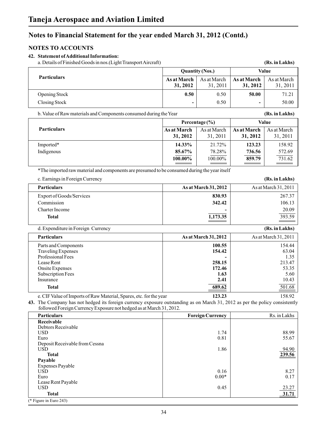### **NOTES TO ACCOUNTS NOTES TO ACCOUNTS**

#### **42. Statement of Additional Information:**

| a. Details of Finished Goods in nos. (Light Transport Aircraft) |  |
|-----------------------------------------------------------------|--|
|                                                                 |  |

| a. Details of Finished Goods in nos. (Light Transport Aircraft)                                                                                                                                     |                         |                                 |                         | (Rs. in Lakhs)          |  |
|-----------------------------------------------------------------------------------------------------------------------------------------------------------------------------------------------------|-------------------------|---------------------------------|-------------------------|-------------------------|--|
|                                                                                                                                                                                                     |                         | <b>Quantity (Nos.)</b><br>Value |                         |                         |  |
| Particulars                                                                                                                                                                                         | As at March<br>31, 2012 | As at March<br>31, 2011         | As at March<br>31, 2012 | As at March<br>31, 2011 |  |
| Opening Stock                                                                                                                                                                                       | 0.50                    | 0.50                            | 50.00                   | 71.21                   |  |
| Closing Stock                                                                                                                                                                                       |                         | 0.50                            |                         | 50.00                   |  |
| b. Value of Raw materials and Components consumed during the Year                                                                                                                                   |                         |                                 |                         | (Rs. in Lakhs)          |  |
|                                                                                                                                                                                                     |                         | Percentage (%)                  |                         | Value                   |  |
| Particulars                                                                                                                                                                                         | As at March<br>31, 2012 | As at March<br>31, 2011         | As at March<br>31, 2012 | As at March<br>31, 2011 |  |
| Imported*                                                                                                                                                                                           | 14.33%                  | 21.72%                          | 123.23                  | 158.92                  |  |
| Indigenous                                                                                                                                                                                          | 85.67%                  | 78.28%                          | 736.56                  | 572.69                  |  |
|                                                                                                                                                                                                     | 100.00%                 | 100.00%                         | 859.79                  | 731.62                  |  |
| *The imported raw material and components are presumed to be consumed during the year itself                                                                                                        |                         |                                 |                         |                         |  |
| c. Earnings in Foreign Currency                                                                                                                                                                     |                         |                                 |                         | (Rs. in Lakhs)          |  |
| <b>Particulars</b>                                                                                                                                                                                  |                         | As at March 31, 2012            |                         | As at March 31, 2011    |  |
| Export of Goods/Services                                                                                                                                                                            |                         | 830.93                          |                         | 267.37                  |  |
| Commission                                                                                                                                                                                          |                         | 342.42                          |                         | 106.13                  |  |
| Charter Income                                                                                                                                                                                      |                         |                                 |                         | 20.09                   |  |
| <b>Total</b>                                                                                                                                                                                        |                         | 1,173.35                        |                         | 393.59                  |  |
| d. Expenditure in Foreign Currency                                                                                                                                                                  |                         |                                 |                         | (Rs. in Lakhs)          |  |
| <b>Particulars</b>                                                                                                                                                                                  |                         | As at March 31, 2012            |                         | As at March 31, 2011    |  |
| Parts and Components                                                                                                                                                                                |                         | 100.55                          | 154.44                  |                         |  |
| <b>Traveling Expenses</b><br>Professional Fees                                                                                                                                                      |                         | 154.42                          | 63.04                   |                         |  |
| Lease Rent                                                                                                                                                                                          |                         | 258.15                          | 1.35<br>213.47          |                         |  |
| Onsite Expenses                                                                                                                                                                                     |                         | 172.46                          | 53.35                   |                         |  |
| Subscription Fees                                                                                                                                                                                   |                         | 1.63                            |                         | 5.60                    |  |
| Insurance                                                                                                                                                                                           |                         | 2.41                            |                         | 10.43<br>501.68         |  |
| <b>Total</b>                                                                                                                                                                                        |                         | 689.62                          |                         |                         |  |
| e. CIF Value of Imports of Raw Material, Spares, etc. for the year                                                                                                                                  |                         | 123.23                          |                         | 158.92                  |  |
| 43. The Company has not hedged its foreign currency exposure outstanding as on March 31, 2012 as per the policy consistently<br>followed Foreign Currency Exposure not hedged as at March 31, 2012. |                         |                                 |                         |                         |  |
| Particulars                                                                                                                                                                                         |                         | <b>Foreign Currency</b>         |                         | Rs. in Lakhs            |  |
| Receivable<br>Debtors Receivable                                                                                                                                                                    |                         |                                 |                         |                         |  |
| <b>USD</b>                                                                                                                                                                                          |                         | 1.74                            |                         | 88.99                   |  |
| Euro                                                                                                                                                                                                |                         | 0.81                            |                         | 55.67                   |  |
| Deposit Receivable from Cessna                                                                                                                                                                      |                         |                                 |                         |                         |  |
| <b>USD</b><br><b>Total</b>                                                                                                                                                                          |                         | 1.86                            |                         | 94.90<br>239.56         |  |
| <b>Dovable</b>                                                                                                                                                                                      |                         |                                 |                         |                         |  |

| 239.56<br><b>Total</b><br>Payable<br>Expenses Payable<br>8.27<br>0.16<br><b>USD</b><br>$0.00*$<br>0.17<br>Euro<br>Lease Rent Payable<br>$\frac{23.27}{31.71}$<br>0.45<br><b>USD</b> | <b>USD</b>   | 1.86 | 94.90 |
|-------------------------------------------------------------------------------------------------------------------------------------------------------------------------------------|--------------|------|-------|
|                                                                                                                                                                                     |              |      |       |
|                                                                                                                                                                                     |              |      |       |
|                                                                                                                                                                                     |              |      |       |
|                                                                                                                                                                                     |              |      |       |
|                                                                                                                                                                                     |              |      |       |
|                                                                                                                                                                                     |              |      |       |
|                                                                                                                                                                                     |              |      |       |
|                                                                                                                                                                                     | <b>Total</b> |      |       |

(\* Figure in Euro 243)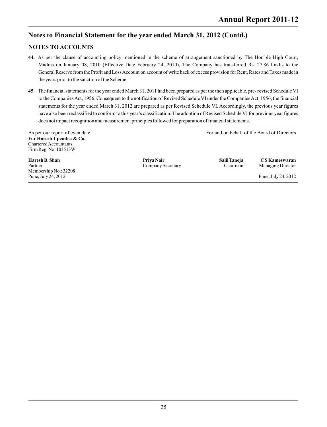### **NOTES TO ACCOUNTS NOTES TO ACCOUNTS**

- **44.** As per the clause of accounting policy mentioned in the scheme of arrangement sanctioned by The Hon'ble High Court, Madras on January 08, 2010 (Effective Date February 24, 2010), The Company has transferred Rs. 27.86 Lakhs to the General Reserve from the Profit and Loss Account on account of write back of excess provision for Rent, Rates and Taxes made in the years prior to the sanction of the Scheme.
- **45.** The financial statements for the year ended March 31, 2011 had been prepared as per the then applicable, pre- revised Schedule VI to the Companies Act, 1956. Consequent to the notification of Revised Schedule VI under the Companies Act, 1956, the financial statements for the year ended March 31, 2012 are prepared as per Revised Schedule VI. Accordingly, the previous year figures have also been reclassified to conform to this year's classification. The adoption of Revised Schedule VI for previous year figures does not impact recognition and measurement principles followed for preparation of financial statements.

As per our report of even date For and on behalf of the Board of Directors **For Haresh Upendra & Co,**  Chartered Accountants Firm Reg. No. 103513W

**Haresh B. Shah Shah Salil Taneja** C S Kameswaran<br>
Partner Company Secretary Company Secretary Chairman Managing Director Partner **Company Secretary** Company Company Company Chairman Managing Director Membership No.: 32208 Pune, July 24, 2012 Pune, July 24, 2012

**Priya Nair**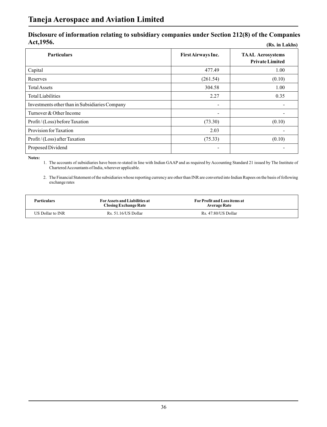# **Disclosure of information relating to subsidiary companies under Section 212(8) of the Companies Act,1956. (Rs. in Lakhs)**

| <b>Particulars</b>                             | First Airways Inc. | <b>TAAL Aerosystems</b><br><b>Private Limited</b> |
|------------------------------------------------|--------------------|---------------------------------------------------|
| Capital                                        | 477.49             | 1.00                                              |
| Reserves                                       | (261.54)           | (0.10)                                            |
| <b>Total Assets</b>                            | 304.58             | 1.00                                              |
| <b>Total Liabilities</b>                       | 2.27               | 0.35                                              |
| Investments other than in Subsidiaries Company |                    |                                                   |
| Turnover & Other Income                        |                    |                                                   |
| Profit/(Loss) before Taxation                  | (73.30)            | (0.10)                                            |
| Provision for Taxation                         | 2.03               |                                                   |
| Profit/(Loss) after Taxation                   | (75.33)            | (0.10)                                            |
| Proposed Dividend                              |                    |                                                   |

**Notes:** 

1. The accounts of subsidiaries have been re-stated in line with Indian GAAP and as required by Accounting Standard 21 issued by The Institute of Chartered Accountants of India, wherever applicable.

2. The Financial Statement of the subsidiaries whose reporting currency are other than INR are converted into Indian Rupees on the basis of following exchange rates

| <b>Particulars</b> | For Assets and Liabilities at<br><b>Closing Exchange Rate</b> | <b>For Profit and Loss items at</b><br><b>Average Rate</b> |  |
|--------------------|---------------------------------------------------------------|------------------------------------------------------------|--|
| US Dollar to INR   | Rs. 51.16/US Dollar                                           | Rs. 47.80/US Dollar                                        |  |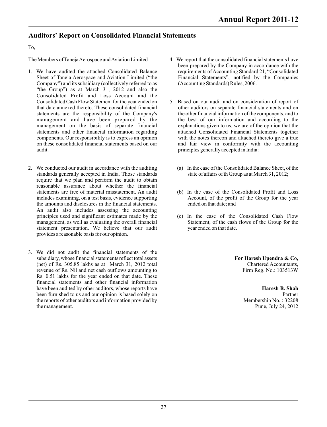### **Auditors' Report on Consolidated Financial Statements**

#### To,

The Members of Taneja Aerospace and Aviation Limited

- 1. We have audited the attached Consolidated Balance Sheet of Taneja Aerospace and Aviation Limited ("the Company") and its subsidiary (collectively referred to as "the Group") as at March 31, 2012 and also the Consolidated Profit and Loss Account and the Consolidated Cash Flow Statement for the year ended on that date annexed thereto. These consolidated financial statements are the responsibility of the Company's management and have been prepared by the management on the basis of separate financial statements and other financial information regarding components. Our responsibility is to express an opinion on these consolidated financial statements based on our audit.
- 2. We conducted our audit in accordance with the auditing standards generally accepted in India. Those standards require that we plan and perform the audit to obtain reasonable assurance about whether the financial statements are free of material misstatement. An audit includes examining, on a test basis, evidence supporting the amounts and disclosures in the financial statements. An audit also includes assessing the accounting principles used and significant estimates made by the management, as well as evaluating the overall financial statement presentation. We believe that our audit provides a reasonable basis for our opinion.
- 3. We did not audit the financial statements of the subsidiary, whose financial statements reflect total assets (net) of Rs. 305.85 lakhs as at March 31, 2012 total revenue of Rs. Nil and net cash outflows amounting to Rs. 0.51 lakhs for the year ended on that date. These financial statements and other financial information have been audited by other auditors, whose reports have been furnished to us and our opinion is based solely on the reports of other auditors and information provided by the management.
- 4. We report that the consolidated financial statements have been prepared by the Company in accordance with the requirements of Accounting Standard 21, "Consolidated Financial Statements", notified by the Companies (Accounting Standards) Rules, 2006.
- 5. Based on our audit and on consideration of report of other auditors on separate financial statements and on the other financial information of the components, and to the best of our information and according to the explanations given to us, we are of the opinion that the attached Consolidated Financial Statements together with the notes thereon and attached thereto give a true and fair view in conformity with the accounting principles generally accepted in India:
	- (a) In the case of the Consolidated Balance Sheet, of the state of affairs of th Group as at March 31, 2012;
	- (b) In the case of the Consolidated Profit and Loss Account, of the profit of the Group for the year ended on that date; and
	- (c) In the case of the Consolidated Cash Flow Statement, of the cash flows of the Group for the year ended on that date.

**For Haresh Upendra & Co,** Chartered Accountants, Firm Reg. No.: 103513W

#### **Haresh B. Shah** Partner Membership No. : 32208 Pune, July 24, 2012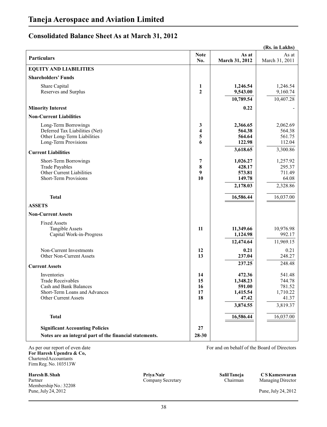## **Consolidated Balance Sheet As at March 31, 2012**

|                                                         |                         |                         | (Rs. in Lakhs)          |
|---------------------------------------------------------|-------------------------|-------------------------|-------------------------|
| <b>Particulars</b>                                      | <b>Note</b><br>No.      | As at<br>March 31, 2012 | As at<br>March 31, 2011 |
| <b>EQUITY AND LIABILITIES</b>                           |                         |                         |                         |
| <b>Shareholders' Funds</b>                              |                         |                         |                         |
| Share Capital                                           | 1                       | 1,246.54                | 1,246.54                |
| Reserves and Surplus                                    | $\mathbf{2}$            | 9,543.00                | 9,160.74                |
|                                                         |                         | 10,789.54               | 10,407.28               |
| <b>Minority Interest</b>                                |                         | 0.22                    |                         |
| <b>Non-Current Liabilities</b>                          |                         |                         |                         |
| Long-Term Borrowings                                    | 3                       | 2,366.65                | 2,062.69                |
| Deferred Tax Liabilities (Net)                          | $\overline{\mathbf{4}}$ | 564.38                  | 564.38                  |
| Other Long-Term Liabilities                             | 5                       | 564.64                  | 561.75                  |
| Long-Term Provisions                                    | 6                       | 122.98                  | 112.04                  |
| <b>Current Liabilities</b>                              |                         | 3,618.65                | 3,300.86                |
| Short-Term Borrowings                                   | 7                       | 1,026.27                | 1,257.92                |
| <b>Trade Payables</b>                                   | 8                       | 428.17                  | 295.37                  |
| Other Current Liabilities                               | 9                       | 573.81                  | 711.49                  |
| <b>Short-Term Provisions</b>                            | 10                      | 149.78                  | 64.08                   |
|                                                         |                         | 2,178.03                | 2,328.86                |
| <b>Total</b>                                            |                         | 16,586.44               | 16,037.00               |
| <b>ASSETS</b>                                           |                         |                         |                         |
| <b>Non-Current Assets</b>                               |                         |                         |                         |
| <b>Fixed Assets</b>                                     |                         |                         |                         |
| <b>Tangible Assets</b>                                  | 11                      | 11,349.66               | 10,976.98               |
| Capital Work-in-Progress                                |                         | 1,124.98                | 992.17                  |
|                                                         |                         | 12,474.64               | 11,969.15               |
| Non-Current Investments                                 | 12                      | 0.21                    | 0.21                    |
| Other Non-Current Assets                                | 13                      | 237.04                  | 248.27                  |
| <b>Current Assets</b>                                   |                         | 237.25                  | 248.48                  |
| Inventories                                             | 14                      | 472.36                  | 541.48                  |
| <b>Trade Receivables</b>                                | 15                      | 1,348.23                | 744.78                  |
| <b>Cash and Bank Balances</b>                           | 16                      | 591.00                  | 781.52                  |
| Short-Term Loans and Advances                           | 17                      | 1,415.54                | 1,710.22                |
| Other Current Assets                                    | 18                      | 47.42                   | 41.37                   |
|                                                         |                         | 3,874.55                | 3,819.37                |
| <b>Total</b>                                            |                         | 16,586.44               | 16,037.00               |
| <b>Significant Accounting Policies</b>                  | 27                      |                         |                         |
| Notes are an integral part of the financial statements. | 28-30                   |                         |                         |
|                                                         |                         |                         |                         |

As per our report of even date For and on behalf of the Board of Directors **For Haresh Upendra & Co,**  Chartered Accountants Firm Reg. No. 103513W

**Haresh B. Shah Salil Taneja** C S Kameswaran Company Secretary Salil Taneja C S Kameswaran Company Secretary Chairman Managing Director Partner **Company Secretary** Company Company Company Chairman Managing Director Membership No.: 32208 Pune, July 24, 2012 Pune, July 24, 2012

**Priya Nair**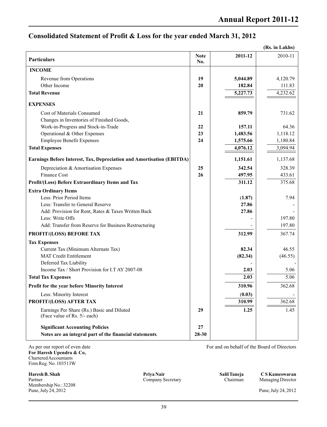### **Consolidated Statement of Profit & Loss for the year ended March 31, 2012**

|                                                                            |                    |          | (Rs. in Lakhs) |
|----------------------------------------------------------------------------|--------------------|----------|----------------|
| Particulars                                                                | <b>Note</b><br>No. | 2011-12  | 2010-11        |
| <b>INCOME</b>                                                              |                    |          |                |
| Revenue from Operations                                                    | 19                 | 5,044.89 | 4,120.79       |
| Other Income                                                               | 20                 | 182.84   | 111.83         |
| <b>Total Revenue</b>                                                       |                    | 5,227.73 | 4,232.62       |
| <b>EXPENSES</b>                                                            |                    |          |                |
| Cost of Materials Consumed                                                 | 21                 | 859.79   | 731.62         |
| Changes in Inventories of Finished Goods,                                  |                    |          |                |
| Work-in-Progress and Stock-in-Trade                                        | 22                 | 157.11   | 64.36          |
| Operational & Other Expenses                                               | 23                 | 1,483.56 | 1,118.12       |
| <b>Employee Benefit Expenses</b>                                           | 24                 | 1,575.66 | 1,180.84       |
| <b>Total Expenses</b>                                                      |                    | 4,076.12 | 3,094.94       |
| Earnings Before Interest, Tax, Depreciation and Amortisation (EBITDA)      |                    | 1,151.61 | 1,137.68       |
| Depreciation & Amortisation Expenses                                       | 25                 | 342.54   | 328.39         |
| <b>Finance Cost</b>                                                        | 26                 | 497.95   | 433.61         |
| Profit/(Loss) Before Extraordinary Items and Tax                           |                    | 311.12   | 375.68         |
| <b>Extra Ordinary Items</b>                                                |                    |          |                |
| Less: Prior Period Items                                                   |                    | (1.87)   | 7.94           |
| Less: Transfer to General Reserve                                          |                    | 27.86    |                |
| Add: Provision for Rent, Rates & Taxes Written Back                        |                    | 27.86    |                |
| Less: Write Offs                                                           |                    |          | 197.80         |
| Add: Transfer from Reserve for Business Restructuring                      |                    |          | 197.80         |
| PROFIT/(LOSS) BEFORE TAX                                                   |                    | 312.99   | 367.74         |
| <b>Tax Expenses</b>                                                        |                    |          |                |
| Current Tax (Minimum Alternate Tax)                                        |                    | 82.34    | 46.55          |
| <b>MAT Credit Entitlement</b>                                              |                    | (82.34)  | (46.55)        |
| Deferred Tax Liability                                                     |                    |          |                |
| Income Tax / Short Provision for I.T AY 2007-08                            |                    | 2.03     | 5.06           |
| <b>Total Tax Expenses</b>                                                  |                    | 2.03     | 5.06           |
| Profit for the year before Minority Interest                               |                    | 310.96   | 362.68         |
| Less: Minority Interest                                                    |                    | (0.03)   |                |
| PROFIT/(LOSS) AFTER TAX                                                    |                    | 310.99   | 362.68         |
| Earnings Per Share (Rs.) Basic and Diluted<br>(Face value of Rs. 5/- each) | 29                 | 1.25     | 1.45           |
| <b>Significant Accounting Policies</b>                                     | 27                 |          |                |
| Notes are an integral part of the financial statements.                    | 28-30              |          |                |

As per our report of even date For and on behalf of the Board of Directors **For Haresh Upendra & Co,**  Chartered Accountants Firm Reg. No. 103513W

**Haresh B. Shah Shah Shah Salil Taneja C S Kameswaran**<br>
Partner Company Secretary Salil Taneja C S Kameswaran<br>
Company Secretary Chairman Managing Director Partner **Company Secretary** Company Company Company Chairman Managing Director Membership No.: 32208 Pune, July 24, 2012 Pune, July 24, 2012

**Priya Nair**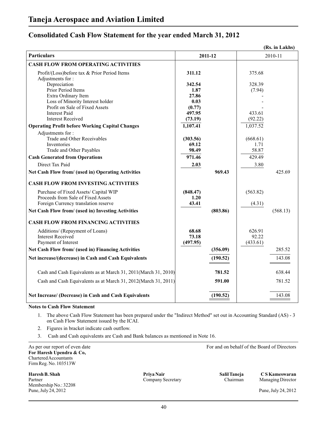### **Consolidated Cash Flow Statement for the year ended March 31, 2012**

| (Rs. in Lakhs)                                                     |                |          |          |          |  |
|--------------------------------------------------------------------|----------------|----------|----------|----------|--|
| <b>Particulars</b>                                                 |                | 2011-12  |          | 2010-11  |  |
| <b>CASH FLOW FROM OPERATING ACTIVITIES</b>                         |                |          |          |          |  |
| Profit/(Loss)before tax & Prior Period Items<br>Adjustments for :  | 311.12         |          | 375.68   |          |  |
| Depreciation                                                       | 342.54         |          | 328.39   |          |  |
| Prior Period Items                                                 | 1.87           |          | (7.94)   |          |  |
| Extra Ordinary Item                                                | 27.86          |          |          |          |  |
| Loss of Minority Interest holder<br>Profit on Sale of Fixed Assets | 0.03<br>(0.77) |          |          |          |  |
| <b>Interest Paid</b>                                               | 497.95         |          | 433.61   |          |  |
| <b>Interest Received</b>                                           | (73.19)        |          | (92.22)  |          |  |
| <b>Operating Profit before Working Capital Changes</b>             | 1,107.41       |          | 1,037.52 |          |  |
| Adjustments for:                                                   |                |          |          |          |  |
| <b>Trade and Other Receivables</b>                                 | (303.56)       |          | (668.61) |          |  |
| Inventories                                                        | 69.12          |          | 1.71     |          |  |
| Trade and Other Payables                                           | 98.49          |          | 58.87    |          |  |
| <b>Cash Generated from Operations</b>                              | 971.46         |          | 429.49   |          |  |
| Direct Tax Paid                                                    | 2.03           |          | 3.80     |          |  |
| Net Cash Flow from/ (used in) Operating Activities                 |                | 969.43   |          | 425.69   |  |
| <b>CASH FLOW FROM INVESTING ACTIVITIES</b>                         |                |          |          |          |  |
| Purchase of Fixed Assets/ Capital WIP                              | (848.47)       |          | (563.82) |          |  |
| Proceeds from Sale of Fixed Assets                                 | 1.20           |          |          |          |  |
| Foreign Currency translation reserve                               | 43.41          |          | (4.31)   |          |  |
| Net Cash Flow from/ (used in) Investing Activities                 |                | (803.86) |          | (568.13) |  |
| <b>CASH FLOW FROM FINANCING ACTIVITIES</b>                         |                |          |          |          |  |
| Additions/ (Repayment of Loans)                                    | 68.68          |          | 626.91   |          |  |
| <b>Interest Received</b>                                           | 73.18          |          | 92.22    |          |  |
| Payment of Interest                                                | (497.95)       |          | (433.61) |          |  |
| Net Cash Flow from/ (used in) Financing Activities                 |                | (356.09) |          | 285.52   |  |
| Net increase/(decrease) in Cash and Cash Equivalents               |                | (190.52) |          | 143.08   |  |
| Cash and Cash Equivalents as at March 31, 2011(March 31, 2010)     |                | 781.52   |          | 638.44   |  |
| Cash and Cash Equivalents as at March 31, 2012(March 31, 2011)     |                | 591.00   |          | 781.52   |  |
| Net Increase/ (Decrease) in Cash and Cash Equivalents              |                | (190.52) |          | 143.08   |  |
|                                                                    |                |          |          |          |  |

**Notes to Cash Flow Statement**

1. The above Cash Flow Statement has been prepared under the "Indirect Method" set out in Accounting Standard (AS) - 3 on Cash Flow Statement issued by the ICAI.

2. Figures in bracket indicate cash outflow.

3. Cash and Cash equivalents are Cash and Bank balances as mentioned in Note 16.

As per our report of even date For and on behalf of the Board of Directors **For Haresh Upendra & Co,**  Chartered Accountants Firm Reg. No. 103513W

**Haresh B. Shah Shah Shah Salil Taneja C S Kameswaran**<br>
Partner Company Secretary Salil Taneja C S Kameswaran<br>
Company Secretary Chairman Managing Director Partner **Company Secretary** Company Company Company Chairman Managing Director Membership No.: 32208

**Priya Nair**

Pune, July 24, 2012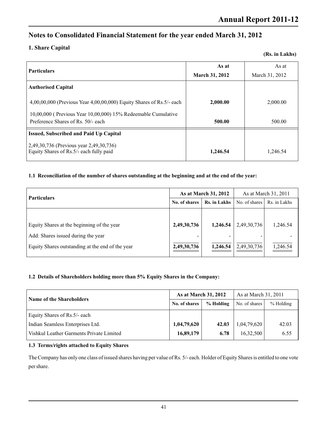### **1. Share Capital**

|  |  | (Rs. in Lakhs) |
|--|--|----------------|
|--|--|----------------|

| <b>Particulars</b>                                                                                         | As at                 | As at          |
|------------------------------------------------------------------------------------------------------------|-----------------------|----------------|
|                                                                                                            | <b>March 31, 2012</b> | March 31, 2012 |
| <b>Authorised Capital</b>                                                                                  |                       |                |
| 4,00,00,000 (Previous Year 4,00,00,000) Equity Shares of Rs.5/- each                                       | 2,000.00              | 2,000.00       |
| $10,00,000$ (Previous Year $10,00,000$ ) $15%$ Redeemable Cumulative<br>Preference Shares of Rs. 50/- each | 500.00                | 500.00         |
| <b>Issued, Subscribed and Paid Up Capital</b>                                                              |                       |                |
| 2,49,30,736 (Previous year 2,49,30,736)<br>Equity Shares of Rs.5/- each fully paid                         | 1,246.54              | 1.246.54       |

#### **1.1 Reconciliation of the number of shares outstanding at the beginning and at the end of the year:**

| <b>Particulars</b>                               | As at March 31, 2012 |              | As at March 31, 2011 |              |
|--------------------------------------------------|----------------------|--------------|----------------------|--------------|
|                                                  | No. of shares        | Rs. in Lakhs | No. of shares        | Rs. in Lakhs |
|                                                  |                      |              |                      |              |
| Equity Shares at the beginning of the year       | 2,49,30,736          | 1,246.54     | 2,49,30,736          | 1,246.54     |
| Add: Shares issued during the year               | -                    | -            |                      |              |
| Equity Shares outstanding at the end of the year | 2,49,30,736          | 1,246.54     | 2,49,30,736          | 1,246.54     |

### **1.2 Details of Shareholders holding more than 5% Equity Shares in the Company:**

| <b>Name of the Shareholders</b>          | <b>As at March 31, 2012</b> |           | As at March 31, 2011 |             |
|------------------------------------------|-----------------------------|-----------|----------------------|-------------|
|                                          | No. of shares               | % Holding | No. of shares        | $%$ Holding |
| Equity Shares of Rs.5/- each             |                             |           |                      |             |
| Indian Seamless Enterprises Ltd.         | 1,04,79,620                 | 42.03     | 1,04,79,620          | 42.03       |
| Vishkul Leather Garments Private Limited | 16,89,179                   | 6.78      | 16,32,500            | 6.55        |

#### **1.3 Terms/rights attached to Equity Shares**

The Company has only one class of issued shares having per value of Rs. 5/- each. Holder of Equity Shares is entitled to one vote per share.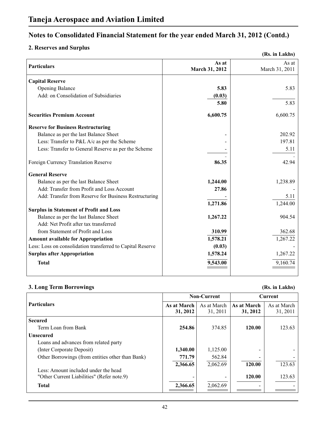### **2. Reserves and Surplus**

|                                                            |                         | (Rs. in Lakhs)          |
|------------------------------------------------------------|-------------------------|-------------------------|
| <b>Particulars</b>                                         | As at<br>March 31, 2012 | As at<br>March 31, 2011 |
| <b>Capital Reserve</b>                                     |                         |                         |
| <b>Opening Balance</b>                                     | 5.83                    | 5.83                    |
| Add: on Consolidation of Subsidiaries                      | (0.03)                  |                         |
|                                                            | 5.80                    | 5.83                    |
| <b>Securities Premium Account</b>                          | 6,600.75                | 6,600.75                |
| <b>Reserve for Business Restructuring</b>                  |                         |                         |
| Balance as per the last Balance Sheet                      |                         | 202.92                  |
| Less: Transfer to P&L A/c as per the Scheme                |                         | 197.81                  |
| Less: Transfer to General Reserve as per the Scheme        |                         | 5.11                    |
| Foreign Currency Translation Reserve                       | 86.35                   | 42.94                   |
| <b>General Reserve</b>                                     |                         |                         |
| Balance as per the last Balance Sheet                      | 1,244.00                | 1,238.89                |
| Add: Transfer from Profit and Loss Account                 | 27.86                   |                         |
| Add: Transfer from Reserve for Business Restructuring      |                         | 5.11                    |
|                                                            | 1,271.86                | 1,244.00                |
| <b>Surplus in Statement of Profit and Loss</b>             |                         |                         |
| Balance as per the last Balance Sheet                      | 1,267.22                | 904.54                  |
| Add: Net Profit after tax transferred                      |                         |                         |
| from Statement of Profit and Loss                          | 310.99                  | 362.68                  |
| <b>Amount available for Appropriation</b>                  | 1,578.21                | 1,267.22                |
| Less: Loss on consolidation transferred to Capital Reserve | (0.03)                  |                         |
| <b>Surplus after Appropriation</b>                         | 1,578.24                | 1,267.22                |
| <b>Total</b>                                               | 9,543.00                | 9,160.74                |
|                                                            |                         |                         |

### **3. Long Term Borrowings (Rs. in Lakhs)**

|                                                  | <b>Non-Current</b> |             | <b>Current</b> |             |
|--------------------------------------------------|--------------------|-------------|----------------|-------------|
| <b>Particulars</b>                               | As at March        | As at March | As at March    | As at March |
|                                                  | 31, 2012           | 31, 2011    | 31, 2012       | 31, 2011    |
| <b>Secured</b>                                   |                    |             |                |             |
| Term Loan from Bank                              | 254.86             | 374.85      | 120.00         | 123.63      |
| <b>Unsecured</b>                                 |                    |             |                |             |
| Loans and advances from related party            |                    |             |                |             |
| (Inter Corporate Deposit)                        | 1,340.00           | 1,125.00    |                |             |
| Other Borrowings (from entities other than Bank) | 771.79             | 562.84      |                |             |
|                                                  | 2,366.65           | 2,062.69    | 120.00         | 123.63      |
| Less: Amount included under the head             |                    |             |                |             |
| "Other Current Liabilities" (Refer note.9)       |                    |             | 120.00         | 123.63      |
| <b>Total</b>                                     | 2,366.65           | 2,062.69    |                |             |
|                                                  |                    |             |                |             |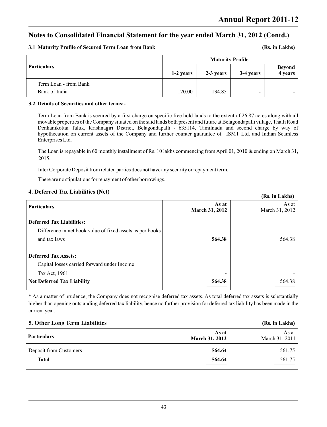**(Rs. in Lakhs)**

### **Notes to Consolidated Financial Statement for the year ended March 31, 2012 (Contd.)**

#### **3.1 Maturity Profile of Secured Term Loan from Bank**

|                       | <b>Maturity Profile</b> |           |           |                          |
|-----------------------|-------------------------|-----------|-----------|--------------------------|
| Particulars           | 1-2 years               | 2-3 years | 3-4 years | <b>Beyond</b><br>4 years |
| Term Loan - from Bank |                         |           |           |                          |
| Bank of India         | 120.00                  | 134.85    | -         |                          |

#### **3.2 Details of Securities and other terms:-**

Term Loan from Bank is secured by a first charge on specific free hold lands to the extent of 26.87 acres along with all movable properties of the Company situated on the said lands both present and future at Belagondapalli village, Thalli Road Denkanikottai Taluk, Krishnagiri District, Belagondapalli - 635114, Tamilnadu and second charge by way of hypothecation on current assets of the Company and further counter guarantee of ISMT Ltd. and Indian Seamless Enterprises Ltd.

The Loan is repayable in 60 monthly installment of Rs. 10 lakhs commencing from April 01, 2010 & ending on March 31, 2015.

Inter Corporate Deposit from related parties does not have any security or repayment term.

There are no stipulations for repayment of other borrowings.

#### **4. Deferred Tax Liabilities (Net)**

|                                                                                                               |                                | (Rs. in Lakhs)          |
|---------------------------------------------------------------------------------------------------------------|--------------------------------|-------------------------|
| <b>Particulars</b>                                                                                            | As at<br><b>March 31, 2012</b> | As at<br>March 31, 2012 |
| <b>Deferred Tax Liabilities:</b><br>Difference in net book value of fixed assets as per books<br>and tax laws | 564.38                         | 564.38                  |
| <b>Deferred Tax Assets:</b><br>Capital losses carried forward under Income                                    |                                |                         |
| Tax Act, 1961<br><b>Net Deferred Tax Liability</b>                                                            | 564.38                         | 564.38                  |

\* As a matter of prudence, the Company does not recognise deferred tax assets. As total deferred tax assets is substantially higher than opening outstanding deferred tax liability, hence no further provision for deferred tax liability has been made in the current year.

| 5. Other Long Term Liabilities         |                                | (Rs. in Lakhs)              |
|----------------------------------------|--------------------------------|-----------------------------|
| <b>Particulars</b>                     | As at<br><b>March 31, 2012</b> | As at $ $<br>March 31, 2011 |
| Deposit from Customers<br><b>Total</b> | 564.64<br>564.64               | 561.75<br>561.75            |
|                                        |                                |                             |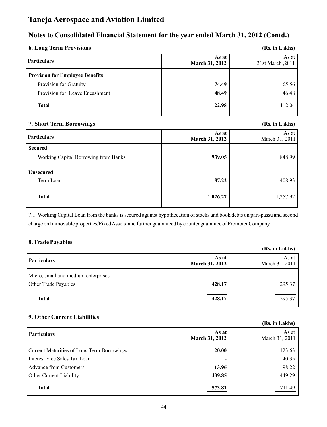| <b>6. Long Term Provisions</b>         |                                | (Rs. in Lakhs)                |
|----------------------------------------|--------------------------------|-------------------------------|
| Particulars                            | As at<br><b>March 31, 2012</b> | As at $ $<br>31st March, 2011 |
| <b>Provision for Employee Benefits</b> |                                |                               |
| Provision for Gratuity                 | 74.49                          | 65.56                         |
| Provision for Leave Encashment         | 48.49                          | 46.48                         |
| <b>Total</b>                           | 122.98                         | 112.04                        |

### **7. Short Term Borrowings (Rs. in Lakhs)**

| <b>Particulars</b>                   | As at<br><b>March 31, 2012</b> | As at $ $<br>March 31, 2011 |
|--------------------------------------|--------------------------------|-----------------------------|
| <b>Secured</b>                       |                                |                             |
| Working Capital Borrowing from Banks | 939.05                         | 848.99                      |
|                                      |                                |                             |
| <b>Unsecured</b>                     |                                |                             |
| Term Loan                            | 87.22                          | 408.93                      |
|                                      |                                |                             |
| <b>Total</b>                         | 1,026.27                       | 1,257.92                    |
|                                      |                                |                             |

7.1 Working Capital Loan from the banks is secured against hypothecation of stocks and book debts on pari-passu and second charge on Immovable properties/Fixed Assets and further guaranteed by counter guarantee of Promoter Company.

### **8. Trade Payables**

|                                                             |                                    | (Rs. in Lakhs)          |
|-------------------------------------------------------------|------------------------------------|-------------------------|
| <b>Particulars</b>                                          | As at<br><b>March 31, 2012</b>     | As at<br>March 31, 2011 |
| Micro, small and medium enterprises<br>Other Trade Payables | $\overline{\phantom{0}}$<br>428.17 | 295.37                  |
| <b>Total</b>                                                | 428.17                             | 295.37                  |

### **9. Other Current Liabilities**

|                                            |                         | (Rs. in Lakhs)          |
|--------------------------------------------|-------------------------|-------------------------|
| <b>Particulars</b>                         | As at<br>March 31, 2012 | As at<br>March 31, 2011 |
| Current Maturities of Long Term Borrowings | 120.00                  | 123.63                  |
| Interest Free Sales Tax Loan               |                         | 40.35                   |
| <b>Advance from Customers</b>              | 13.96                   | 98.22                   |
| Other Current Liability                    | 439.85                  | 449.29                  |
| <b>Total</b>                               | 573.81                  | 711.49                  |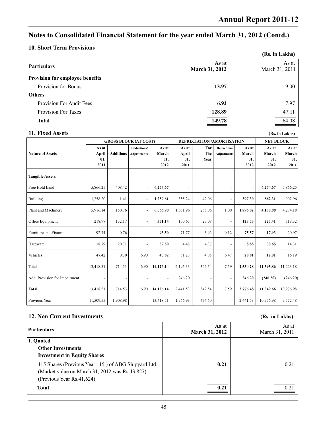### **10. Short Term Provisions**

| 10. DHOI C I CLIII I I O CHOICHD       |                                | (Rs. in Lakhs)          |
|----------------------------------------|--------------------------------|-------------------------|
| <b>Particulars</b>                     | As at<br><b>March 31, 2012</b> | As at<br>March 31, 2011 |
| <b>Provision for employee benefits</b> |                                |                         |
| Provision for Bonus                    | 13.97                          | 9.00                    |
| <b>Others</b>                          |                                |                         |
| <b>Provision For Audit Fees</b>        | 6.92                           | 7.97                    |
| <b>Provision For Taxes</b>             | 128.89                         | 47.11                   |
| <b>Total</b>                           | 149.78                         | 64.08                   |

| 11. Fixed Assets              |                                                                  |                  |                                   |                               |                               |                          |                                   |                               |                               | (Rs. in Lakhs)                |
|-------------------------------|------------------------------------------------------------------|------------------|-----------------------------------|-------------------------------|-------------------------------|--------------------------|-----------------------------------|-------------------------------|-------------------------------|-------------------------------|
|                               | <b>GROSS BLOCK (AT COST)</b><br><b>DEPRECIATION/AMORTISATION</b> |                  |                                   |                               | <b>NET BLOCK</b>              |                          |                                   |                               |                               |                               |
| <b>Nature of Assets</b>       | As at<br>April<br>01,<br>2011                                    | <b>Additions</b> | Deductions/<br><b>Adjustments</b> | As at<br>March<br>31,<br>2012 | As at<br>April<br>01,<br>2011 | For<br>The<br>Year       | Deductions/<br><b>Adjustments</b> | As at<br>March<br>01,<br>2012 | As at<br>March<br>31,<br>2012 | As at<br>March<br>31,<br>2011 |
| <b>Tangible Assets:</b>       |                                                                  |                  |                                   |                               |                               |                          |                                   |                               |                               |                               |
| Free Hold Land                | 5,866.25                                                         | 408.42           |                                   | 6,274.67                      | $\overline{\phantom{a}}$      | $\overline{\phantom{a}}$ | $\overline{a}$                    | $\overline{a}$                | 6,274.67                      | 5,866.25                      |
| <b>Building</b>               | 1,258.20                                                         | 1.41             |                                   | 1,259.61                      | 355.24                        | 42.06                    | $\overline{a}$                    | 397.30                        | 862.31                        | 902.96                        |
| Plant and Machinery           | 5,916.14                                                         | 150.76           |                                   | 6,066.90                      | 1,631.96                      | 265.06                   | 1.00                              | 1,896.02                      | 4,170.88                      | 4,284.18                      |
| Office Equipment              | 218.97                                                           | 132.17           |                                   | 351.14                        | 100.65                        | 23.08                    | $\overline{a}$                    | 123.73                        | 227.41                        | 118.32                        |
| Furniture and Fixture         | 92.74                                                            | 0.76             |                                   | 93.50                         | 71.77                         | 3.92                     | 0.12                              | 75.57                         | 17.93                         | 20.97                         |
| Hardware                      | 18.79                                                            | 20.71            |                                   | 39.50                         | 4.48                          | 4.37                     | $\overline{a}$                    | 8.85                          | 30.65                         | 14.31                         |
| Vehicles                      | 47.42                                                            | 0.30             | 6.90                              | 40.82                         | 31.23                         | 4.05                     | 6.47                              | 28.81                         | 12.01                         | 16.19                         |
| Total                         | 13,418.51                                                        | 714.53           | 6.90                              | 14,126.14                     | 2,195.33                      | 342.54                   | 7.59                              | 2,530.28                      | 11,595.86                     | 11,223.18                     |
| Add: Provision for Impairment |                                                                  |                  |                                   |                               | 246.20                        | $\overline{\phantom{a}}$ | $\overline{a}$                    | 246.20                        | (246.20)                      | (246.20)                      |
| <b>Total</b>                  | 13,418.51                                                        | 714.53           | 6.90                              | 14,126.14                     | 2,441.53                      | 342.54                   | 7.59                              | 2,776.48                      | 11,349.66                     | 10,976.98                     |
| Previous Year                 | 11,509.55                                                        | 1,908.98         |                                   | 13,418.51                     | 1,966.93                      | 474.60                   |                                   | 2,441.53                      | 10,976.98                     | 9,572.48                      |

### **12. Non Current Investments (Rs. in Lakhs)**

| Particulars                                                                                                                        | As at<br><b>March 31, 2012</b> | As at<br>March 31, 2011 |
|------------------------------------------------------------------------------------------------------------------------------------|--------------------------------|-------------------------|
| I. Quoted<br><b>Other Investments</b><br><b>Investment in Equity Shares</b>                                                        |                                |                         |
| 115 Shares (Previous Year 115) of ABG Shipyard Ltd.<br>(Market value on March 31, 2012 was Rs.43,827)<br>(Previous Year Rs.41,624) | 0.21                           | 0.21                    |
| <b>Total</b>                                                                                                                       | 0.21                           | 0.21                    |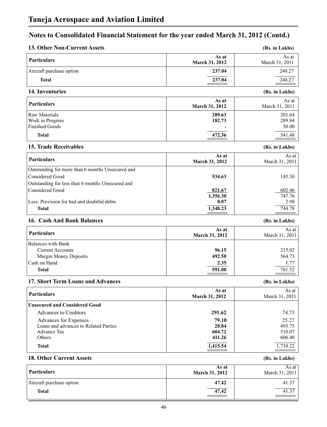| 13. Other Non-Current Assets                                                                                                                                                           |                                                          | (Rs. in Lakhs)                                           |
|----------------------------------------------------------------------------------------------------------------------------------------------------------------------------------------|----------------------------------------------------------|----------------------------------------------------------|
| <b>Particulars</b>                                                                                                                                                                     | As at<br>March 31, 2012                                  | As at<br>March 31, 2011                                  |
| Aircraft purchase option                                                                                                                                                               | 237.04                                                   | 248.27                                                   |
| <b>Total</b>                                                                                                                                                                           | 237.04                                                   | 248.27                                                   |
| 14. Inventories                                                                                                                                                                        |                                                          | (Rs. in Lakhs)                                           |
| <b>Particulars</b>                                                                                                                                                                     | As at<br>March 31, 2012                                  | As at<br>March 31, 2011                                  |
| Raw Materials<br>Work in Progress                                                                                                                                                      | 289.63<br>182.73                                         | 201.64<br>289.84                                         |
| <b>Finished Goods</b><br><b>Total</b>                                                                                                                                                  | 472.36                                                   | 50.00<br>541.48                                          |
| <b>15. Trade Receivables</b>                                                                                                                                                           |                                                          | (Rs. in Lakhs)                                           |
| <b>Particulars</b>                                                                                                                                                                     | As at<br>March 31, 2012                                  | As at<br>March 31, 2011                                  |
| Outstanding for more than 6 months Unsecured and<br><b>Considered Good</b>                                                                                                             | 534.63                                                   | 145.30                                                   |
| Outstanding for less than 6 months Unsecured and<br><b>Considered Good</b>                                                                                                             | 821.67<br>1,356.30                                       | 602.46<br>747.76                                         |
| Less: Provision for bad and doubtful debts<br><b>Total</b>                                                                                                                             | 8.07<br>1,348.23                                         | 2.98<br>744.78                                           |
| 16. Cash And Bank Balances                                                                                                                                                             |                                                          | (Rs. in Lakhs)                                           |
| <b>Particulars</b>                                                                                                                                                                     | As at<br>March 31, 2012                                  | As at<br>March 31, 2011                                  |
| <b>Balances with Bank</b><br><b>Current Accounts</b><br><b>Margin Money Deposits</b><br>Cash on Hand<br><b>Total</b>                                                                   | 96.15<br>492.50<br>2.35<br>591.00                        | 215.02<br>564.73<br>1.77<br>781.52                       |
| 17. Short Term Loans and Advances                                                                                                                                                      |                                                          | (Rs. in Lakhs)                                           |
| <b>Particulars</b>                                                                                                                                                                     | As at<br>March 31, 2012                                  | As at<br>March 31, 2011                                  |
| <b>Unsecured and Considered Good</b><br><b>Advances to Creditors</b><br>Advances for Expenses<br>Loans and advances to Related Parties<br><b>Advance Tax</b><br>Others<br><b>Total</b> | 291.62<br>79.10<br>28.84<br>604.72<br>411.26<br>1,415.54 | 74.73<br>25.27<br>493.75<br>510.07<br>606.40<br>1,710.22 |
| <b>18. Other Current Assets</b>                                                                                                                                                        |                                                          | (Rs. in Lakhs)                                           |
|                                                                                                                                                                                        |                                                          |                                                          |

| <b>Particulars</b>       | As at<br><b>March 31, 2012</b> | As at<br>March 31, 2011 |
|--------------------------|--------------------------------|-------------------------|
| Aircraft purchase option | 47.42                          | 41.37                   |
| <b>Total</b>             | 47.42                          | 41.37                   |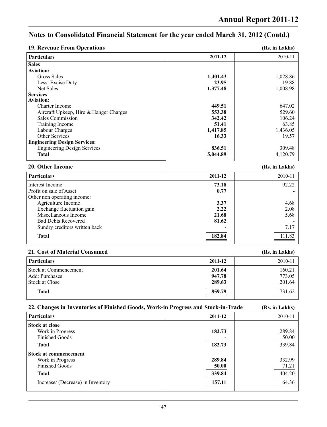| <b>19. Revenue From Operations</b> | (Rs. in Lakhs) |
|------------------------------------|----------------|
|------------------------------------|----------------|

| <b>Particulars</b>                     | 2011-12  | 2010-11  |
|----------------------------------------|----------|----------|
| <b>Sales</b>                           |          |          |
| Aviation:                              |          |          |
| Gross Sales                            | 1,401.43 | 1,028.86 |
| Less: Excise Duty                      | 23.95    | 19.88    |
| Net Sales                              | 1,377.48 | 1,008.98 |
| <b>Services</b>                        |          |          |
| <b>Aviation:</b>                       |          |          |
| Charter Income                         | 449.51   | 647.02   |
| Aircraft Upkeep, Hire & Hanger Charges | 553.38   | 529.60   |
| Sales Commission                       | 342.42   | 106.24   |
| Training Income                        | 51.41    | 63.85    |
| Labour Charges                         | 1,417.85 | 1,436.05 |
| <b>Other Services</b>                  | 16.33    | 19.57    |
| <b>Engineering Design Services:</b>    |          |          |
| <b>Engineering Design Services</b>     | 836.51   | 309.48   |
| <b>Total</b>                           | 5,044.89 | 4,120.79 |
|                                        |          |          |

#### **20. Other Income (Rs. in Lakhs)**

| 2011-12 | 2010-11 |
|---------|---------|
| 73.18   | 92.22   |
| 0.77    |         |
|         |         |
| 3.37    | 4.68    |
| 2.22    | 2.08    |
| 21.68   | 5.68    |
| 81.62   |         |
|         | 7.17    |
| 182.84  | 111.83  |
|         |         |

#### **21. Cost of Material Consumed (Rs. in Lakhs)**

|                                                           |                            | $1 - 100$ and $-00$ and $0$        |
|-----------------------------------------------------------|----------------------------|------------------------------------|
| <b>Particulars</b>                                        | 2011-12                    | 2010-11                            |
| Stock at Commencement<br>Add: Purchases<br>Stock at Close | 201.64<br>947.78<br>289.63 | 160.21<br>773.05<br>201.64         |
| <b>Total</b>                                              | 859.79                     | 731.62<br>$\overline{\phantom{a}}$ |

# **22. Changes in Inventories of Finished Goods, Work-in Progress and Stock-in-Trade (Rs. in Lakhs)**

| <b>Particulars</b>                | 2011-12 | 2010-11 |
|-----------------------------------|---------|---------|
| <b>Stock at close</b>             |         |         |
| Work in Progress                  | 182.73  | 289.84  |
| <b>Finished Goods</b>             |         | 50.00   |
| <b>Total</b>                      | 182.73  | 339.84  |
| Stock at commencement             |         |         |
| Work in Progress                  | 289.84  | 332.99  |
| <b>Finished Goods</b>             | 50.00   | 71.21   |
| <b>Total</b>                      | 339.84  | 404.20  |
| Increase/ (Decrease) in Inventory | 157.11  | 64.36   |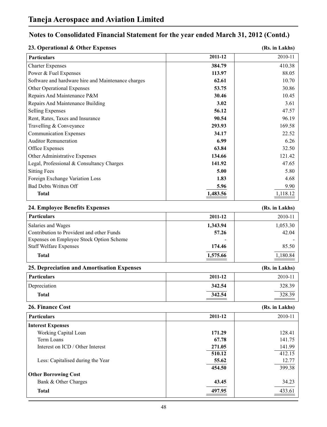| 23. Operational & Other Expenses                   |          | (Rs. in Lakhs) |
|----------------------------------------------------|----------|----------------|
| <b>Particulars</b>                                 | 2011-12  | 2010-11        |
| <b>Charter Expenses</b>                            | 384.79   | 410.38         |
| Power & Fuel Expenses                              | 113.97   | 88.05          |
| Software and hardware hire and Maintenance charges | 62.61    | 10.70          |
| Other Operational Expenses                         | 53.75    | 30.86          |
| Repairs And Maintenance P&M                        | 30.46    | 10.45          |
| Repairs And Maintenance Building                   | 3.02     | 3.61           |
| <b>Selling Expenses</b>                            | 56.12    | 47.57          |
| Rent, Rates, Taxes and Insurance                   | 90.54    | 96.19          |
| Travelling & Conveyance                            | 293.93   | 169.58         |
| <b>Communication Expenses</b>                      | 34.17    | 22.52          |
| <b>Auditor Remuneration</b>                        | 6.99     | 6.26           |
| Office Expenses                                    | 63.84    | 32.50          |
| Other Administrative Expenses                      | 134.66   | 121.42         |
| Legal, Professional & Consultancy Charges          | 141.92   | 47.65          |
| <b>Sitting Fees</b>                                | 5.00     | 5.80           |
| Foreign Exchange Variation Loss                    | 1.83     | 4.68           |
| <b>Bad Debts Written Off</b>                       | 5.96     | 9.90           |
| <b>Total</b>                                       | 1,483.56 | 1,118.12       |
|                                                    |          |                |
| 24. Employee Benefits Expenses                     |          | (Rs. in Lakhs) |
| <b>Particulars</b>                                 | 2011-12  | 2010-11        |
| Salaries and Wages                                 | 1,343.94 | 1,053.30       |
| Contribution to Provident and other Funds          | 57.26    | 42.04          |
| Expenses on Employee Stock Option Scheme           |          |                |
| <b>Staff Welfare Expenses</b>                      | 174.46   | 85.50          |
| <b>Total</b>                                       | 1,575.66 | 1,180.84       |
| 25. Depreciation and Amortisation Expenses         |          | (Rs. in Lakhs) |
| <b>Particulars</b>                                 | 2011-12  | 2010-11        |
| Depreciation                                       | 342.54   | 328.39         |
| <b>Total</b>                                       | 342.54   | 328.39         |
| 26. Finance Cost                                   |          | (Rs. in Lakhs) |
| <b>Particulars</b>                                 | 2011-12  | 2010-11        |
| <b>Interest Expenses</b>                           |          |                |
| Working Capital Loan                               | 171.29   | 128.41         |
| Term Loans                                         | 67.78    | 141.75         |
| Interest on ICD / Other Interest                   | 271.05   | 141.99         |
|                                                    | 510.12   | 412.15         |
| Less: Capitalised during the Year                  | 55.62    | 12.77          |
|                                                    | 454.50   | 399.38         |
| <b>Other Borrowing Cost</b>                        |          |                |
| Bank & Other Charges                               | 43.45    | 34.23          |
| <b>Total</b>                                       | 497.95   | 433.61         |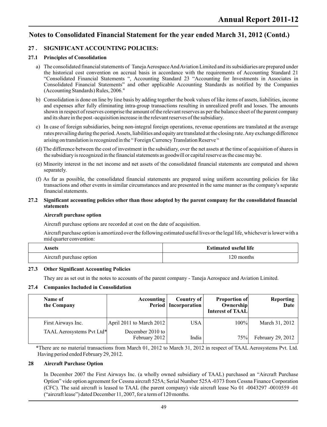#### **27 . SIGNIFICANT ACCOUNTING POLICIES:**

#### **27.1 Principles of Consolidation**

- a) The consolidated financial statements of Taneja Aerospace And Aviation Limited and its subsidiaries are prepared under the historical cost convention on accrual basis in accordance with the requirements of Accounting Standard 21 "Consolidated Financial Statements ", Accounting Standard 23 "Accounting for Investments in Associates in Consolidated Financial Statements" and other applicable Accounting Standards as notified by the Companies (Accounting Standards) Rules, 2006."
- b) Consolidation is done on line by line basis by adding together the book values of like items of assets, liabilities, income and expenses after fully eliminating intra-group transactions resulting in unrealized profit and losses. The amounts shown in respect of reserves comprise the amount of the relevant reserves as per the balance sheet of the parent company and its share in the post -acquisition increase in the relevant reserves of the subsidiary.
- c) In case of foreign subsidiaries, being non-integral foreign operations, revenue operations are translated at the average rates prevailing during the period. Assets, liabilities and equity are translated at the closing rate. Any exchange difference arising on translation is recognized in the " Foreign Currency Translation Reserve "
- (d) The difference between the cost of investment in the subsidiary, over the net assets at the time of acquisition of shares in the subsidiary is recognized in the financial statements as goodwill or capital reserve as the case may be.
- (e) Minority interest in the net income and net assets of the consolidated financial statements are computed and shown separately.
- (f) As far as possible, the consolidated financial statements are prepared using uniform accounting policies for like transactions and other events in similar circumstances and are presented in the same manner as the company's separate financial statements.

#### **27.2 Significant accounting policies other than those adopted by the parent company for the consolidated financial statements**

#### **Aircraft purchase option**

Aircraft purchase options are recorded at cost on the date of acquisition.

Aircraft purchase option is amortized over the following estimated useful lives or the legal life, whichever is lower with a mid quarter convention:

| Assets                   | <b>Estimated useful life</b> |  |
|--------------------------|------------------------------|--|
| Aircraft purchase option | 120 months                   |  |

#### **27.3 Other Significant Accounting Policies**

They are as set out in the notes to accounts of the parent company - Taneja Aerospace and Aviation Limited.

#### **27.4 Companies Included in Consolidation**

| Name of<br>the Company    | Accounting                        | Country of<br><b>Period</b>   Incorporation | <b>Proportion of</b><br><b>Ownership</b><br>Interest of TAAL | <b>Reporting</b><br>Date |
|---------------------------|-----------------------------------|---------------------------------------------|--------------------------------------------------------------|--------------------------|
| First Airways Inc.        | April 2011 to March 2012          | <b>USA</b>                                  | 100%                                                         | March 31, 2012           |
| TAAL Aerosystems Pvt Ltd* | December 2010 to<br>February 2012 | India                                       | 75%                                                          | February 29, 2012        |

\*There are no material transactions from March 01, 2012 to March 31, 2012 in respect of TAAL Aerosystems Pvt. Ltd. Having period ended February 29, 2012.

#### **28 Aircraft Purchase Option**

In December 2007 the First Airways Inc. (a wholly owned subsidiary of TAAL) purchased an "Aircraft Purchase Option" vide option agreement for Cessna aircraft 525A; Serial Number 525A-0373 from Cessna Finance Corporation (CFC). The said aircraft is leased to TAAL (the parent company) vide aircraft lease No 01 -0043297 -0010559 -01 ("aircraft lease") dated December 11, 2007, for a term of 120 months.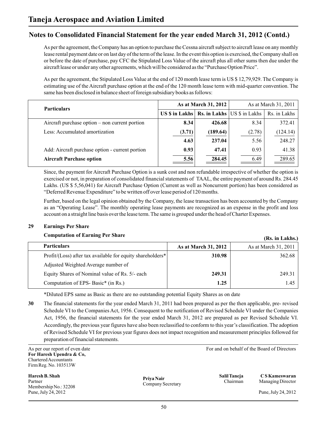As per the agreement, the Company has an option to purchase the Cessna aircraft subject to aircraft lease on any monthly lease rental payment date or on last day of the term of the lease. In the event this option is exercised, the Company shall on or before the date of purchase, pay CFC the Stipulated Loss Value of the aircraft plus all other sums then due under the aircraft lease or under any other agreements, which will be considered as the "Purchase Option Price".

As per the agreement, the Stipulated Loss Value at the end of 120 month lease term is US \$ 12,79,929. The Company is estimating use of the Aircraft purchase option at the end of the 120 month lease term with mid-quarter convention. The same has been disclosed in balance sheet of foreign subsidiary books as follows:

| <b>Particulars</b>                              |                                                          | As at March 31, 2012 | As at March 31, 2011 |              |  |
|-------------------------------------------------|----------------------------------------------------------|----------------------|----------------------|--------------|--|
|                                                 | US $\$$ in Lakhs $\ $ Rs. in Lakhs $\ $ US $\$$ in Lakhs |                      |                      | Rs. in Lakhs |  |
| Aircraft purchase option – non current portion  | 8.34                                                     | 426.68               | 8.34                 | 372.41       |  |
| Less: Accumulated amortization                  | (3.71)                                                   | (189.64)             | (2.78)               | (124.14)     |  |
|                                                 | 4.63                                                     | 237.04               | 5.56                 | 248.27       |  |
| Add: Aircraft purchase option - current portion | 0.93                                                     | 47.41                | 0.93                 | 41.38        |  |
| <b>Aircraft Purchase option</b>                 | 5.56                                                     | 284.45               | 6.49                 | 289.65       |  |

Since, the payment for Aircraft Purchase Option is a sunk cost and non refundable irrespective of whether the option is exercised or not, in preparation of consolidated financial statements of TAAL, the entire payment of around Rs. 284.45 Lakhs. (US \$ 5,56,041) for Aircraft Purchase Option (Current as well as Noncurrent portion) has been considered as "Deferred Revenue Expenditure" to be written off over lease period of 120 months.

Further, based on the legal opinion obtained by the Company, the lease transaction has been accounted by the Company as an "Operating Lease". The monthly operating lease payments are recognized as an expense in the profit and loss account on a straight line basis over the lease term. The same is grouped under the head of Charter Expenses.

#### **29 Earnings Per Share**

#### **Computation of Earning Per Share**

| Computation of Earling Fermant                             |                      | (Rs. in Lakhs.)      |
|------------------------------------------------------------|----------------------|----------------------|
| <b>Particulars</b>                                         | As at March 31, 2012 | As at March 31, 2011 |
| Profit/(Loss) after tax available for equity shareholders* | 310.98               | 362.68               |
| Adjusted Weighted Average number of                        |                      |                      |
| Equity Shares of Nominal value of Rs. 5/- each             | 249.31               | 249.31               |
| Computation of EPS-Basic* (in Rs.)                         | 1.25                 | 1.45                 |

\*Diluted EPS same as Basic as there are no outstanding potential Equity Shares as on date

**30** The financial statements for the year ended March 31, 2011 had been prepared as per the then applicable, pre- revised Schedule VI to the Companies Act, 1956. Consequent to the notification of Revised Schedule VI under the Companies Act, 1956, the financial statements for the year ended March 31, 2012 are prepared as per Revised Schedule VI. Accordingly, the previous year figures have also been reclassified to conform to this year's classification. The adoption of Revised Schedule VI for previous year figures does not impact recognition and measurement principles followed for preparation of financial statements.

**For Haresh Upendra & Co,**  Chartered Accountants Firm Reg. No. 103513W

**Haresh B. Shah Salil Taneja C S Kameswaran** Partner Managing Director Chairman Managing Director Membership No.: 32208 Pune, July 24, 2012 Pune, July 24, 2012

**Priya Nair** Company Secretary

As per our report of even date For and on behalf of the Board of Directors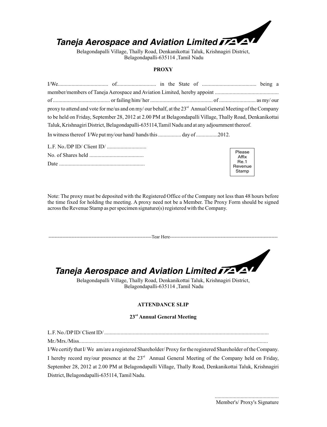

Belagondapalli Village, Thally Road, Denkanikottai Taluk, Krishnagiri District, Belagondapalli-635114 ,Tamil Nadu

#### **PROXY**

| proxy to attend and vote for me/us and on my/our behalf, at the $23rd$ Annual General Meeting of the Company |  |  |  |  |
|--------------------------------------------------------------------------------------------------------------|--|--|--|--|
| to be held on Friday, September 28, 2012 at 2.00 PM at Belagondapalli Village, Thally Road, Denkanikottai    |  |  |  |  |
| Taluk, Krishnagiri District, Belagondapalli-635114, Tamil Nadu and at any adjournment thereof.               |  |  |  |  |
| In witness thereof I/We put my/our hand/hands this day of 2012.                                              |  |  |  |  |

| Please  |
|---------|
| Affix   |
| Re.1    |
| Revenue |
| Stamp   |
|         |

Note: The proxy must be deposited with the Registered Office of the Company not less than 48 hours before the time fixed for holding the meeting. A proxy need not be a Member. The Proxy Form should be signed across the Revenue Stamp as per specimen signature(s) registered with the Company.

---------------------------Tear Here---------------

# *Taneja Aerospace and Aviation Limited*

Belagondapalli Village, Thally Road, Denkanikottai Taluk, Krishnagiri District, Belagondapalli-635114 ,Tamil Nadu

#### **ATTENDANCE SLIP**

#### **rd 23 Annual General Meeting**

L.F. No./DPID/ Client ID/ .........................................................................................................................

Mr./Mrs./Miss...........................................................................................................................................

I/We certify that I/ We am/are a registered Shareholder/ Proxy for the registered Shareholder of the Company. I hereby record my/our presence at the  $23<sup>rd</sup>$  Annual General Meeting of the Company held on Friday, September 28, 2012 at 2.00 PM at Belagondapalli Village, Thally Road, Denkanikottai Taluk, Krishnagiri District, Belagondapalli-635114, Tamil Nadu.

> ............................................... Member's/ Proxy's Signature